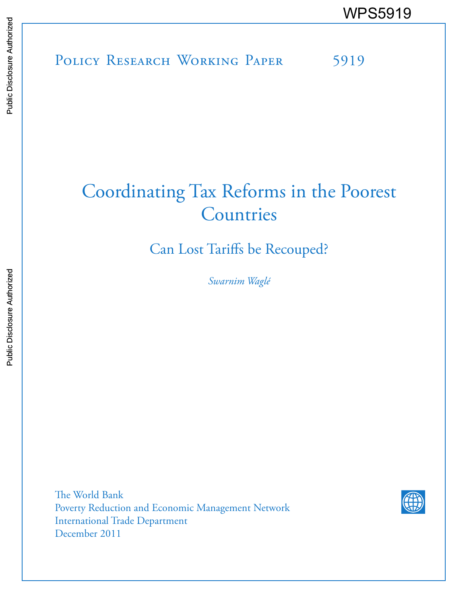POLICY RESEARCH WORKING PAPER 5919 WPS5919<br>
Media<br>
Media<br>
Band<br>
Band<br>
Band<br>
Band<br>
Band<br>
Band<br>
Band<br>
Band<br>
Band<br>
Band<br>
Band<br>
Band<br>
Band<br>
Band<br>
Band<br>
Band<br>
Band<br>
Band<br>
Band<br>
Band<br>
Band<br>
Band<br>
Band<br>
Band<br>
Band<br>
Band<br>
Band<br>
Band<br>
Band<br>
Band<br>
Band<br>
Band<br>
Band<br>
B

# Coordinating Tax Reforms in the Poorest **Countries**

Can Lost Tariffs be Recouped?

*Swarnim Waglé*

The World Bank Poverty Reduction and Economic Management Network International Trade Department December 2011

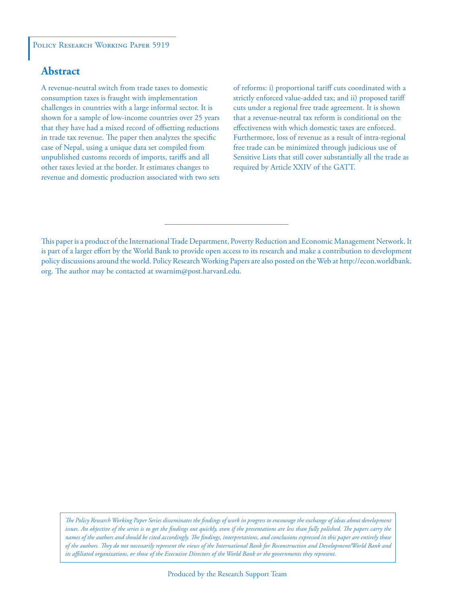# POLICY RESEARCH WORKING PAPER 5919

# **Abstract**

A revenue-neutral switch from trade taxes to domestic consumption taxes is fraught with implementation challenges in countries with a large informal sector. It is shown for a sample of low-income countries over 25 years that they have had a mixed record of offsetting reductions in trade tax revenue. The paper then analyzes the specific case of Nepal, using a unique data set compiled from unpublished customs records of imports, tariffs and all other taxes levied at the border. It estimates changes to revenue and domestic production associated with two sets of reforms: i) proportional tariff cuts coordinated with a strictly enforced value-added tax; and ii) proposed tariff cuts under a regional free trade agreement. It is shown that a revenue-neutral tax reform is conditional on the effectiveness with which domestic taxes are enforced. Furthermore, loss of revenue as a result of intra-regional free trade can be minimized through judicious use of Sensitive Lists that still cover substantially all the trade as required by Article XXIV of the GATT.

This paper is a product of the International Trade Department, Poverty Reduction and Economic Management Network. It is part of a larger effort by the World Bank to provide open access to its research and make a contribution to development policy discussions around the world. Policy Research Working Papers are also posted on the Web at http://econ.worldbank. org. The author may be contacted at swarnim@post.harvard.edu.

*The Policy Research Working Paper Series disseminates the findings of work in progress to encourage the exchange of ideas about development*  issues. An objective of the series is to get the findings out quickly, even if the presentations are less than fully polished. The papers carry the *names of the authors and should be cited accordingly. The findings, interpretations, and conclusions expressed in this paper are entirely those of the authors. They do not necessarily represent the views of the International Bank for Reconstruction and Development/World Bank and its affiliated organizations, or those of the Executive Directors of the World Bank or the governments they represent.*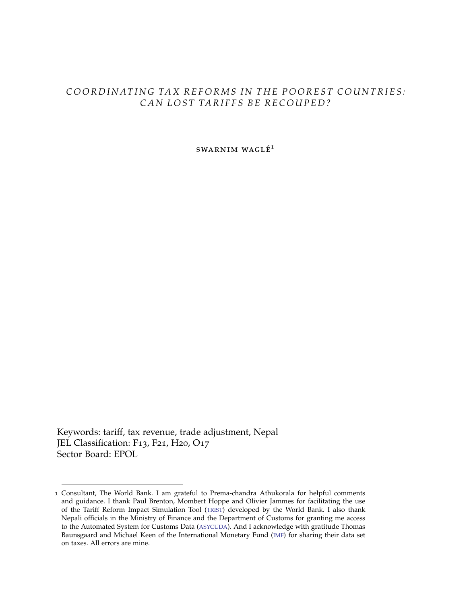# COORDINATING TAX REFORMS IN THE POOREST COUNTRIES: CAN LOST TARIFFS BE RECOUPED?

 $SWARNIM WAGLÉ<sup>1</sup>$ 

Keywords: tariff, tax revenue, trade adjustment, Nepal JEL Classification: F13, F21, H20, O17 Sector Board: EPOL

<sup>1</sup> Consultant, The World Bank. I am grateful to Prema-chandra Athukorala for helpful comments and guidance. I thank Paul Brenton, Mombert Hoppe and Olivier Jammes for facilitating the use of the Tariff Reform Impact Simulation Tool (TRIST) developed by the World Bank. I also thank Nepali officials in the Ministry of Finance and the Department of Customs for granting me access to the Automated System for Customs Data (ASYCUDA). And I acknowledge with gratitude Thomas Baunsgaard and Michael Keen of the International Monetary Fund (IMF) for sharing their data set on taxes. All errors are mine.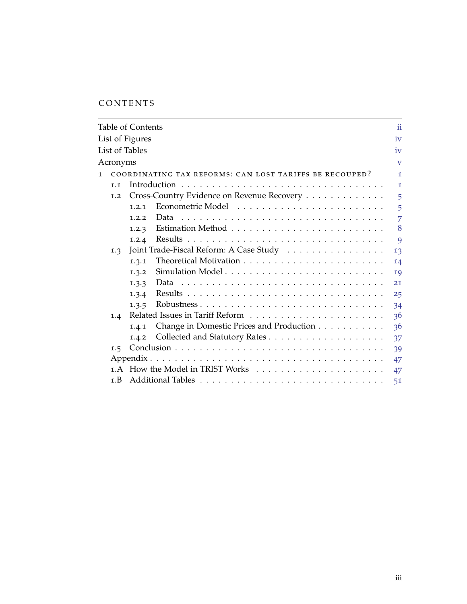# CONTENTS

|              |          | Table of Contents |                                                         | ii                      |
|--------------|----------|-------------------|---------------------------------------------------------|-------------------------|
|              |          | List of Figures   |                                                         | iv                      |
|              |          | List of Tables    |                                                         | iv                      |
|              | Acronyms |                   |                                                         | $\overline{\mathbf{V}}$ |
| $\mathbf{I}$ |          |                   | COORDINATING TAX REFORMS: CAN LOST TARIFFS BE RECOUPED? | $\mathbf{I}$            |
|              | 1.1      |                   |                                                         | $\mathbf{1}$            |
|              | 1.2      |                   | Cross-Country Evidence on Revenue Recovery              | 5                       |
|              |          | 1.2.1             |                                                         | 5                       |
|              |          | 1.2.2             | Data                                                    | $\overline{7}$          |
|              |          | 1.2.3             |                                                         | 8                       |
|              |          | 1.2.4             |                                                         | 9                       |
|              | 1.3      |                   | Joint Trade-Fiscal Reform: A Case Study                 | 13                      |
|              |          | 1.3.1             |                                                         | 14                      |
|              |          | 1.3.2             |                                                         | 19                      |
|              |          | 1.3.3             |                                                         | 21                      |
|              |          | 1.3.4             |                                                         | 25                      |
|              |          | 1.3.5             | Robustness                                              | 34                      |
|              | 1.4      |                   |                                                         | 36                      |
|              |          | 1.4.1             | Change in Domestic Prices and Production                | 36                      |
|              |          | 1.4.2             |                                                         | 37                      |
|              | 1.5      |                   |                                                         | 39                      |
|              |          |                   |                                                         | 47                      |
|              |          |                   |                                                         | 47                      |
|              | 1.B      |                   |                                                         | 51                      |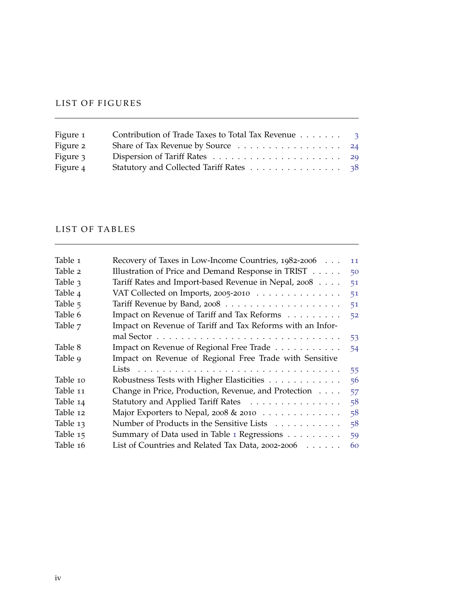# <span id="page-5-0"></span>LIST OF FIGURES

| Figure 1 | Contribution of Trade Taxes to Total Tax Revenue 3 |  |
|----------|----------------------------------------------------|--|
| Figure 2 | Share of Tax Revenue by Source 24                  |  |
| Figure 3 |                                                    |  |
| Figure 4 | Statutory and Collected Tariff Rates 38            |  |

# <span id="page-5-1"></span>LIST OF TABLES

| Table 1  | Recovery of Taxes in Low-Income Countries, 1982-2006       | 11 |
|----------|------------------------------------------------------------|----|
| Table 2  | Illustration of Price and Demand Response in TRIST         | 50 |
| Table 3  | Tariff Rates and Import-based Revenue in Nepal, 2008       | 51 |
| Table 4  | VAT Collected on Imports, 2005-2010                        | 51 |
| Table 5  |                                                            | 51 |
| Table 6  | Impact on Revenue of Tariff and Tax Reforms                | 52 |
| Table 7  | Impact on Revenue of Tariff and Tax Reforms with an Infor- |    |
|          |                                                            | 53 |
| Table 8  | Impact on Revenue of Regional Free Trade                   | 54 |
|          |                                                            |    |
| Table 9  | Impact on Revenue of Regional Free Trade with Sensitive    |    |
|          |                                                            | 55 |
| Table 10 | Robustness Tests with Higher Elasticities                  | 56 |
| Table 11 | Change in Price, Production, Revenue, and Protection       | 57 |
| Table 14 | Statutory and Applied Tariff Rates                         | 58 |
| Table 12 | Major Exporters to Nepal, 2008 & 2010                      | 58 |
| Table 13 | Number of Products in the Sensitive Lists                  | 58 |
| Table 15 | Summary of Data used in Table 1 Regressions                | 59 |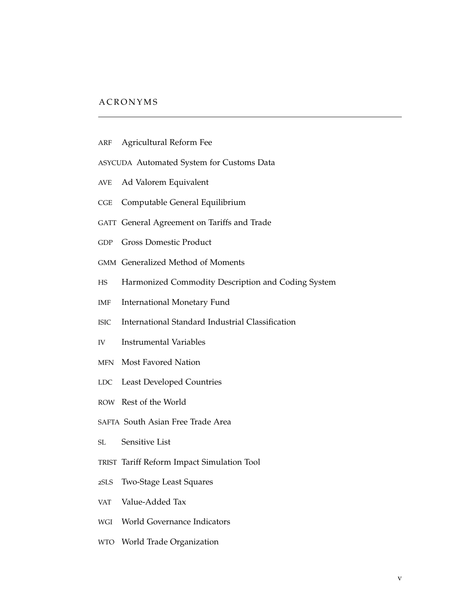# <span id="page-6-0"></span>A C R O N Y M S

- <span id="page-6-11"></span>ARF Agricultural Reform Fee
- ASYCUDA Automated System for Customs Data
- <span id="page-6-15"></span>AVE Ad Valorem Equivalent
- <span id="page-6-9"></span>CGE Computable General Equilibrium
- <span id="page-6-17"></span>GATT General Agreement on Tariffs and Trade
- <span id="page-6-1"></span>GDP Gross Domestic Product
- <span id="page-6-6"></span>GMM Generalized Method of Moments
- <span id="page-6-13"></span>HS Harmonized Commodity Description and Coding System
- IMF International Monetary Fund
- <span id="page-6-18"></span>ISIC International Standard Industrial Classification
- <span id="page-6-7"></span>IV Instrumental Variables
- <span id="page-6-12"></span>MFN Most Favored Nation
- <span id="page-6-2"></span>LDC Least Developed Countries
- <span id="page-6-14"></span>ROW Rest of the World
- <span id="page-6-4"></span>SAFTA South Asian Free Trade Area
- <span id="page-6-16"></span>SL Sensitive List
- <span id="page-6-10"></span>TRIST Tariff Reform Impact Simulation Tool
- <span id="page-6-8"></span>2SLS Two-Stage Least Squares
- <span id="page-6-3"></span>VAT Value-Added Tax
- <span id="page-6-5"></span>WGI World Governance Indicators
- <span id="page-6-19"></span>WTO World Trade Organization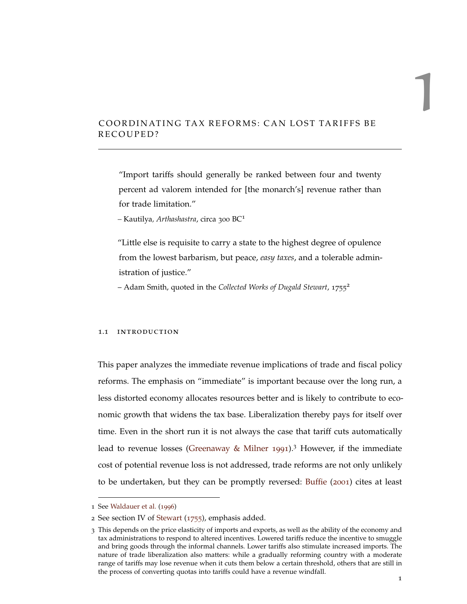# <span id="page-8-0"></span>COORDINATING TAX REFORMS: CAN LOST TARIFFS BE RECOUPED?

"Import tariffs should generally be ranked between four and twenty percent ad valorem intended for [the monarch's] revenue rather than for trade limitation."

*–* Kautilya*, Arthashastra*, circa <sup>300</sup> BC<sup>1</sup>

"Little else is requisite to carry a state to the highest degree of opulence from the lowest barbarism, but peace, *easy taxes*, and a tolerable administration of justice."

– Adam Smith, quoted in the *Collected Works of Dugald Stewart*, <sup>1755</sup><sup>2</sup>

#### <span id="page-8-1"></span>1.1 introduction

This paper analyzes the immediate revenue implications of trade and fiscal policy reforms. The emphasis on "immediate" is important because over the long run, a less distorted economy allocates resources better and is likely to contribute to economic growth that widens the tax base. Liberalization thereby pays for itself over time. Even in the short run it is not always the case that tariff cuts automatically lead to revenue losses [\(Greenaway & Milner](#page-50-0) [1991](#page-50-0)).<sup>3</sup> However, if the immediate cost of potential revenue loss is not addressed, trade reforms are not only unlikely to be undertaken, but they can be promptly reversed: [Buffie](#page-49-0) ([2001](#page-49-0)) cites at least

1

<sup>1</sup> See [Waldauer et al.](#page-52-0) ([1996](#page-52-0))

<sup>2</sup> See section IV of [Stewart](#page-51-0) ([1755](#page-51-0)), emphasis added.

<sup>3</sup> This depends on the price elasticity of imports and exports, as well as the ability of the economy and tax administrations to respond to altered incentives. Lowered tariffs reduce the incentive to smuggle and bring goods through the informal channels. Lower tariffs also stimulate increased imports. The nature of trade liberalization also matters: while a gradually reforming country with a moderate range of tariffs may lose revenue when it cuts them below a certain threshold, others that are still in the process of converting quotas into tariffs could have a revenue windfall.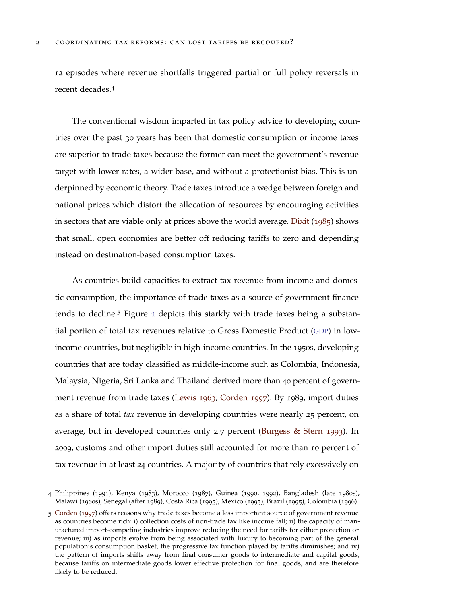12 episodes where revenue shortfalls triggered partial or full policy reversals in recent decades.<sup>4</sup>

The conventional wisdom imparted in tax policy advice to developing countries over the past 30 years has been that domestic consumption or income taxes are superior to trade taxes because the former can meet the government's revenue target with lower rates, a wider base, and without a protectionist bias. This is underpinned by economic theory. Trade taxes introduce a wedge between foreign and national prices which distort the allocation of resources by encouraging activities in sectors that are viable only at prices above the world average. [Dixit](#page-50-1) ([1985](#page-50-1)) shows that small, open economies are better off reducing tariffs to zero and depending instead on destination-based consumption taxes.

As countries build capacities to extract tax revenue from income and domestic consumption, the importance of trade taxes as a source of government finance tends to decline.<sup>5</sup> Figure [1](#page-10-0) depicts this starkly with trade taxes being a substantial portion of total tax revenues relative to Gross Domestic Product ([GDP](#page-6-1)) in lowincome countries, but negligible in high-income countries. In the 1950s, developing countries that are today classified as middle-income such as Colombia, Indonesia, Malaysia, Nigeria, Sri Lanka and Thailand derived more than 40 percent of government revenue from trade taxes [\(Lewis](#page-51-1) [1963](#page-51-1); [Corden](#page-50-2) [1997](#page-50-2)). By 1989, import duties as a share of total *tax* revenue in developing countries were nearly 25 percent, on average, but in developed countries only 2.7 percent [\(Burgess & Stern](#page-49-1) [1993](#page-49-1)). In 2009, customs and other import duties still accounted for more than 10 percent of tax revenue in at least 24 countries. A majority of countries that rely excessively on

<sup>4</sup> Philippines (1991), Kenya (1983), Morocco (1987), Guinea (1990, 1992), Bangladesh (late 1980s), Malawi (1980s), Senegal (after 1989), Costa Rica (1995), Mexico (1995), Brazil (1995), Colombia (1996).

<sup>5</sup> [Corden](#page-50-2) ([1997](#page-50-2)) offers reasons why trade taxes become a less important source of government revenue as countries become rich: i) collection costs of non-trade tax like income fall; ii) the capacity of manufactured import-competing industries improve reducing the need for tariffs for either protection or revenue; iii) as imports evolve from being associated with luxury to becoming part of the general population's consumption basket, the progressive tax function played by tariffs diminishes; and iv) the pattern of imports shifts away from final consumer goods to intermediate and capital goods, because tariffs on intermediate goods lower effective protection for final goods, and are therefore likely to be reduced.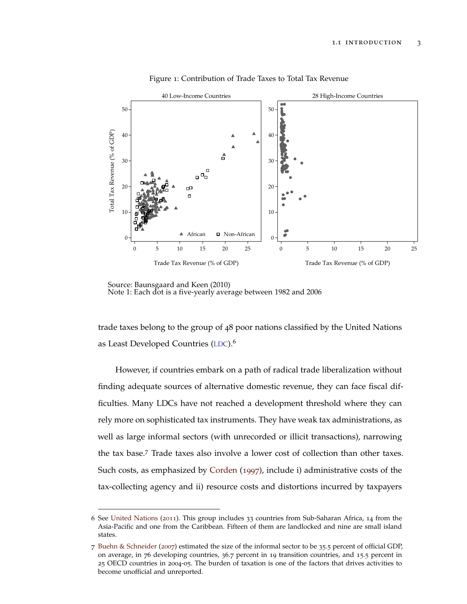<span id="page-10-0"></span>

Figure 1: Contribution of Trade Taxes to Total Tax Revenue

Source: Baunsgaard a Source: Baunsgaard and Keen (2010)<br>Note 1: Each dot is a five-yearly average between 1982 and 2006

trade taxes belong to the group of 48 poor nations classified by the United Nations as Least Developed Countries ([LDC](#page-6-2)).<sup>6</sup>

However, if countries embark on a path of radical trade liberalization without finding adequate sources of alternative domestic revenue, they can face fiscal difficulties. Many LDCs have not reached a development threshold where they can rely more on sophisticated tax instruments. They have weak tax administrations, as well as large informal sectors (with unrecorded or illicit transactions), narrowing the tax base.<sup>7</sup> Trade taxes also involve a lower cost of collection than other taxes. Such costs, as emphasized by [Corden](#page-50-2) ([1997](#page-50-2)), include i) administrative costs of the tax-collecting agency and ii) resource costs and distortions incurred by taxpayers

<sup>6</sup> See [United Nations](#page-52-1) ([2011](#page-52-1)). This group includes 33 countries from Sub-Saharan Africa, 14 from the Asia-Pacific and one from the Caribbean. Fifteen of them are landlocked and nine are small island states.

<sup>7</sup> [Buehn & Schneider](#page-49-2) ([2007](#page-49-2)) estimated the size of the informal sector to be 35.5 percent of official GDP, on average, in 76 developing countries, 36.7 percent in 19 transition countries, and 15.5 percent in 25 OECD countries in 2004-05. The burden of taxation is one of the factors that drives activities to become unofficial and unreported.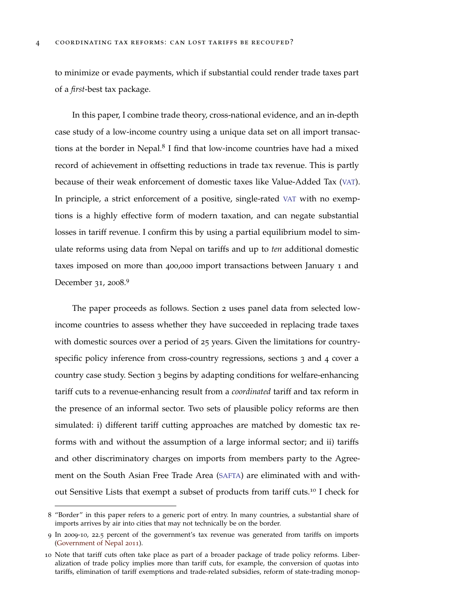to minimize or evade payments, which if substantial could render trade taxes part of a *first*-best tax package.

In this paper, I combine trade theory, cross-national evidence, and an in-depth case study of a low-income country using a unique data set on all import transactions at the border in Nepal.<sup>8</sup> I find that low-income countries have had a mixed record of achievement in offsetting reductions in trade tax revenue. This is partly because of their weak enforcement of domestic taxes like Value-Added Tax ([VAT](#page-6-3)). In principle, a strict enforcement of a positive, single-rated [VAT](#page-6-3) with no exemptions is a highly effective form of modern taxation, and can negate substantial losses in tariff revenue. I confirm this by using a partial equilibrium model to simulate reforms using data from Nepal on tariffs and up to *ten* additional domestic taxes imposed on more than 400,000 import transactions between January 1 and December 31, 2008.<sup>9</sup>

The paper proceeds as follows. Section 2 uses panel data from selected lowincome countries to assess whether they have succeeded in replacing trade taxes with domestic sources over a period of 25 years. Given the limitations for countryspecific policy inference from cross-country regressions, sections 3 and 4 cover a country case study. Section 3 begins by adapting conditions for welfare-enhancing tariff cuts to a revenue-enhancing result from a *coordinated* tariff and tax reform in the presence of an informal sector. Two sets of plausible policy reforms are then simulated: i) different tariff cutting approaches are matched by domestic tax reforms with and without the assumption of a large informal sector; and ii) tariffs and other discriminatory charges on imports from members party to the Agreement on the South Asian Free Trade Area ([SAFTA](#page-6-4)) are eliminated with and without Sensitive Lists that exempt a subset of products from tariff cuts.<sup>10</sup> I check for

<sup>8</sup> "Border" in this paper refers to a generic port of entry. In many countries, a substantial share of imports arrives by air into cities that may not technically be on the border.

<sup>9</sup> In 2009-10, 22.5 percent of the government's tax revenue was generated from tariffs on imports [\(Government of Nepal](#page-50-3) [2011](#page-50-3)).

<sup>10</sup> Note that tariff cuts often take place as part of a broader package of trade policy reforms. Liberalization of trade policy implies more than tariff cuts, for example, the conversion of quotas into tariffs, elimination of tariff exemptions and trade-related subsidies, reform of state-trading monop-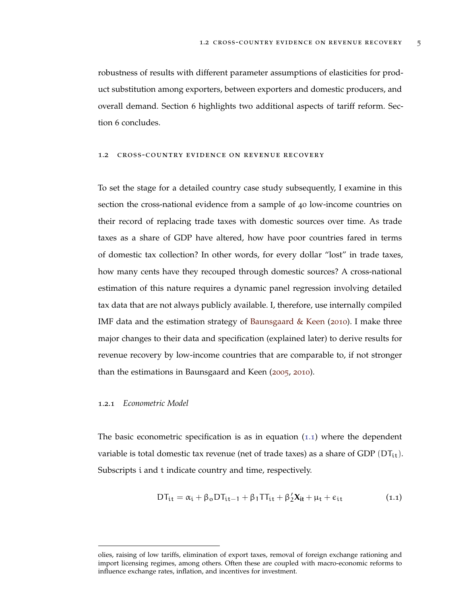robustness of results with different parameter assumptions of elasticities for product substitution among exporters, between exporters and domestic producers, and overall demand. Section 6 highlights two additional aspects of tariff reform. Section 6 concludes.

#### <span id="page-12-0"></span>1.2 cross-country evidence on revenue recovery

To set the stage for a detailed country case study subsequently, I examine in this section the cross-national evidence from a sample of 40 low-income countries on their record of replacing trade taxes with domestic sources over time. As trade taxes as a share of GDP have altered, how have poor countries fared in terms of domestic tax collection? In other words, for every dollar "lost" in trade taxes, how many cents have they recouped through domestic sources? A cross-national estimation of this nature requires a dynamic panel regression involving detailed tax data that are not always publicly available. I, therefore, use internally compiled IMF data and the estimation strategy of [Baunsgaard & Keen](#page-49-3) ([2010](#page-49-3)). I make three major changes to their data and specification (explained later) to derive results for revenue recovery by low-income countries that are comparable to, if not stronger than the estimations in Baunsgaard and Keen ([2005](#page-49-4), [2010](#page-49-3)).

# <span id="page-12-1"></span>1.2.1 *Econometric Model*

The basic econometric specification is as in equation  $(1.1)$  $(1.1)$  $(1.1)$  where the dependent variable is total domestic tax revenue (net of trade taxes) as a share of GDP  $(DT_{it})$ . Subscripts i and t indicate country and time, respectively.

<span id="page-12-2"></span>
$$
DT_{it} = \alpha_i + \beta_o DT_{it-1} + \beta_1 TT_{it} + \beta'_2 X_{it} + \mu_t + \varepsilon_{it}
$$
 (1.1)

olies, raising of low tariffs, elimination of export taxes, removal of foreign exchange rationing and import licensing regimes, among others. Often these are coupled with macro-economic reforms to influence exchange rates, inflation, and incentives for investment.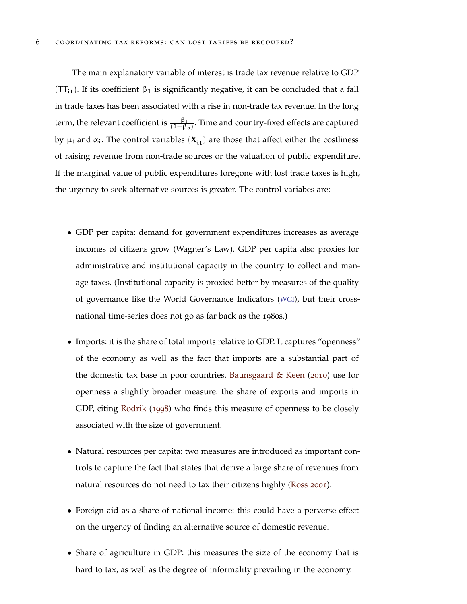The main explanatory variable of interest is trade tax revenue relative to GDP (TT<sub>it</sub>). If its coefficient  $\beta_1$  is significantly negative, it can be concluded that a fall in trade taxes has been associated with a rise in non-trade tax revenue. In the long term, the relevant coefficient is  $\frac{-\beta_1}{(1-\beta_0)}$ . Time and country-fixed effects are captured by  $\mu_t$  and  $\alpha_i$ . The control variables  $(X_{it})$  are those that affect either the costliness of raising revenue from non-trade sources or the valuation of public expenditure. If the marginal value of public expenditures foregone with lost trade taxes is high, the urgency to seek alternative sources is greater. The control variabes are:

- GDP per capita: demand for government expenditures increases as average incomes of citizens grow (Wagner's Law). GDP per capita also proxies for administrative and institutional capacity in the country to collect and manage taxes. (Institutional capacity is proxied better by measures of the quality of governance like the World Governance Indicators ([WGI](#page-6-5)), but their crossnational time-series does not go as far back as the 1980s.)
- Imports: it is the share of total imports relative to GDP. It captures "openness" of the economy as well as the fact that imports are a substantial part of the domestic tax base in poor countries. [Baunsgaard & Keen](#page-49-3) ([2010](#page-49-3)) use for openness a slightly broader measure: the share of exports and imports in GDP, citing [Rodrik](#page-51-2) ([1998](#page-51-2)) who finds this measure of openness to be closely associated with the size of government.
- Natural resources per capita: two measures are introduced as important controls to capture the fact that states that derive a large share of revenues from natural resources do not need to tax their citizens highly [\(Ross](#page-51-3) [2001](#page-51-3)).
- Foreign aid as a share of national income: this could have a perverse effect on the urgency of finding an alternative source of domestic revenue.
- Share of agriculture in GDP: this measures the size of the economy that is hard to tax, as well as the degree of informality prevailing in the economy.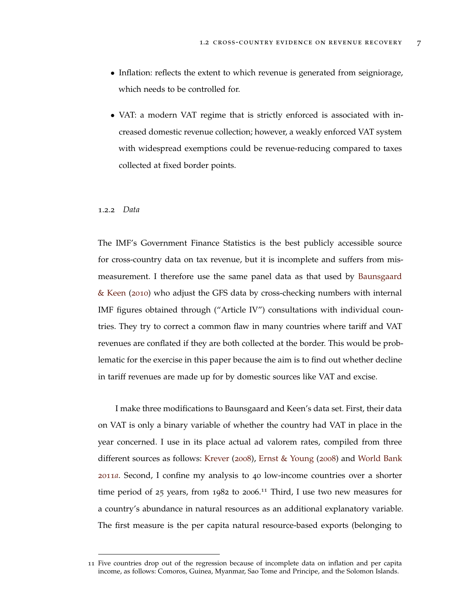- Inflation: reflects the extent to which revenue is generated from seigniorage, which needs to be controlled for.
- VAT: a modern VAT regime that is strictly enforced is associated with increased domestic revenue collection; however, a weakly enforced VAT system with widespread exemptions could be revenue-reducing compared to taxes collected at fixed border points.

# <span id="page-14-0"></span>1.2.2 *Data*

The IMF's Government Finance Statistics is the best publicly accessible source for cross-country data on tax revenue, but it is incomplete and suffers from mismeasurement. I therefore use the same panel data as that used by [Baunsgaard](#page-49-3) [& Keen](#page-49-3) ([2010](#page-49-3)) who adjust the GFS data by cross-checking numbers with internal IMF figures obtained through ("Article IV") consultations with individual countries. They try to correct a common flaw in many countries where tariff and VAT revenues are conflated if they are both collected at the border. This would be problematic for the exercise in this paper because the aim is to find out whether decline in tariff revenues are made up for by domestic sources like VAT and excise.

I make three modifications to Baunsgaard and Keen's data set. First, their data on VAT is only a binary variable of whether the country had VAT in place in the year concerned. I use in its place actual ad valorem rates, compiled from three different sources as follows: [Krever](#page-51-4) ([2008](#page-51-4)), [Ernst & Young](#page-50-4) ([2008](#page-50-4)) and [World Bank](#page-52-2) [2011](#page-52-2)*a*. Second, I confine my analysis to 40 low-income countries over a shorter time period of 25 years, from 1982 to 2006.<sup>11</sup> Third, I use two new measures for a country's abundance in natural resources as an additional explanatory variable. The first measure is the per capita natural resource-based exports (belonging to

<sup>11</sup> Five countries drop out of the regression because of incomplete data on inflation and per capita income, as follows: Comoros, Guinea, Myanmar, Sao Tome and Principe, and the Solomon Islands.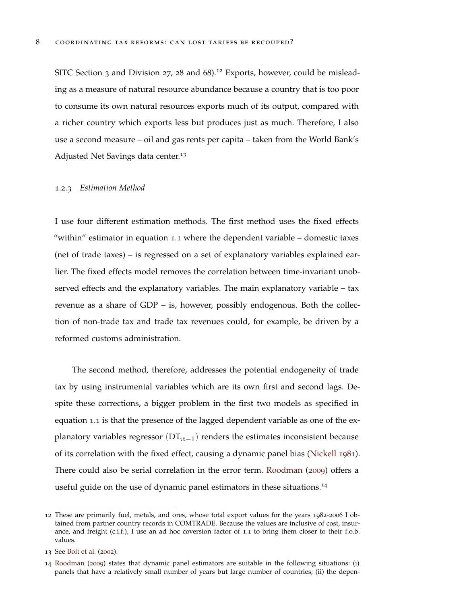SITC Section 3 and Division 27, 28 and  $68$ ).<sup>12</sup> Exports, however, could be misleading as a measure of natural resource abundance because a country that is too poor to consume its own natural resources exports much of its output, compared with a richer country which exports less but produces just as much. Therefore, I also use a second measure – oil and gas rents per capita – taken from the World Bank's Adjusted Net Savings data center.<sup>13</sup>

## <span id="page-15-0"></span>1.2.3 *Estimation Method*

I use four different estimation methods. The first method uses the fixed effects "within" estimator in equation [1](#page-12-2).1 where the dependent variable – domestic taxes (net of trade taxes) – is regressed on a set of explanatory variables explained earlier. The fixed effects model removes the correlation between time-invariant unobserved effects and the explanatory variables. The main explanatory variable – tax revenue as a share of GDP – is, however, possibly endogenous. Both the collection of non-trade tax and trade tax revenues could, for example, be driven by a reformed customs administration.

The second method, therefore, addresses the potential endogeneity of trade tax by using instrumental variables which are its own first and second lags. Despite these corrections, a bigger problem in the first two models as specified in equation [1](#page-12-2).1 is that the presence of the lagged dependent variable as one of the explanatory variables regressor ( $DT_{it-1}$ ) renders the estimates inconsistent because of its correlation with the fixed effect, causing a dynamic panel bias [\(Nickell](#page-51-5) [1981](#page-51-5)). There could also be serial correlation in the error term. [Roodman](#page-51-6) ([2009](#page-51-6)) offers a useful guide on the use of dynamic panel estimators in these situations.<sup>14</sup>

<sup>12</sup> These are primarily fuel, metals, and ores, whose total export values for the years 1982-2006 I obtained from partner country records in COMTRADE. Because the values are inclusive of cost, insurance, and freight (c.i.f.), I use an ad hoc coversion factor of 1.1 to bring them closer to their f.o.b. values.

<sup>13</sup> See [Bolt et al.](#page-49-5) ([2002](#page-49-5)).

<sup>14</sup> [Roodman](#page-51-6) ([2009](#page-51-6)) states that dynamic panel estimators are suitable in the following situations: (i) panels that have a relatively small number of years but large number of countries; (ii) the depen-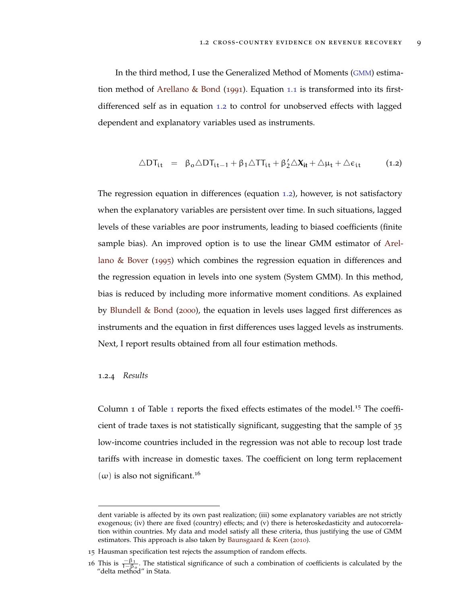In the third method, I use the Generalized Method of Moments ([GMM](#page-6-6)) estimation method of [Arellano & Bond](#page-49-6) ([1991](#page-49-6)). Equation [1](#page-12-2).1 is transformed into its firstdifferenced self as in equation [1](#page-16-1).2 to control for unobserved effects with lagged dependent and explanatory variables used as instruments.

<span id="page-16-1"></span>
$$
\triangle DT_{\mathfrak{i}\mathfrak{t}}\ =\ \beta_o\triangle DT_{\mathfrak{i}\mathfrak{t}-1}+\beta_1\triangle TT_{\mathfrak{i}\mathfrak{t}}+\beta_2'\triangle X_{\mathfrak{i}\mathfrak{t}}+\triangle\mu_\mathfrak{t}+\triangle\varepsilon_{\mathfrak{i}\mathfrak{t}}\ \ \hspace{1cm} (1.2)
$$

The regression equation in differences (equation [1](#page-16-1).2), however, is not satisfactory when the explanatory variables are persistent over time. In such situations, lagged levels of these variables are poor instruments, leading to biased coefficients (finite sample bias). An improved option is to use the linear GMM estimator of [Arel](#page-49-7)[lano & Bover](#page-49-7) ([1995](#page-49-7)) which combines the regression equation in differences and the regression equation in levels into one system (System GMM). In this method, bias is reduced by including more informative moment conditions. As explained by [Blundell & Bond](#page-49-8) ([2000](#page-49-8)), the equation in levels uses lagged first differences as instruments and the equation in first differences uses lagged levels as instruments. Next, I report results obtained from all four estimation methods.

## <span id="page-16-0"></span>1.2.4 *Results*

Column [1](#page-18-0) of Table 1 reports the fixed effects estimates of the model.<sup>15</sup> The coefficient of trade taxes is not statistically significant, suggesting that the sample of 35 low-income countries included in the regression was not able to recoup lost trade tariffs with increase in domestic taxes. The coefficient on long term replacement  $(\omega)$  is also not significant.<sup>16</sup>

dent variable is affected by its own past realization; (iii) some explanatory variables are not strictly exogenous; (iv) there are fixed (country) effects; and (v) there is heteroskedasticity and autocorrelation within countries. My data and model satisfy all these criteria, thus justifying the use of GMM estimators. This approach is also taken by [Baunsgaard & Keen](#page-49-3) ([2010](#page-49-3)).

<sup>15</sup> Hausman specification test rejects the assumption of random effects.

<sup>16</sup> This is  $\frac{-\beta_1}{1-\beta_0}$ . The statistical significance of such a combination of coefficients is calculated by the "delta method" in Stata.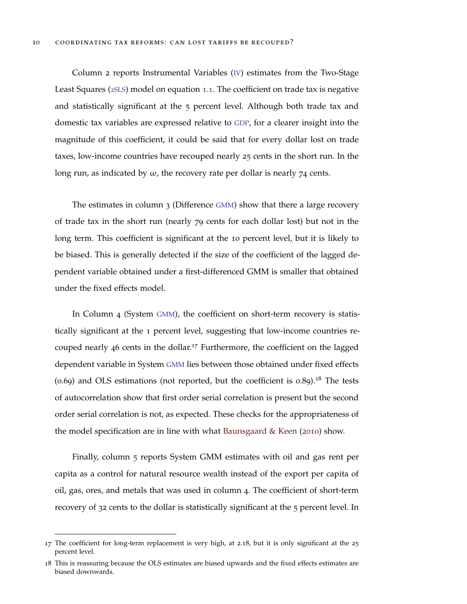Column 2 reports Instrumental Variables ([IV](#page-6-7)) estimates from the Two-Stage Least Squares (2[SLS](#page-6-8)) model on equation [1](#page-12-2).1. The coefficient on trade tax is negative and statistically significant at the 5 percent level. Although both trade tax and domestic tax variables are expressed relative to [GDP](#page-6-1), for a clearer insight into the magnitude of this coefficient, it could be said that for every dollar lost on trade taxes, low-income countries have recouped nearly 25 cents in the short run. In the long run, as indicated by  $\omega$ , the recovery rate per dollar is nearly 74 cents.

The estimates in column 3 (Difference [GMM](#page-6-6)) show that there a large recovery of trade tax in the short run (nearly 79 cents for each dollar lost) but not in the long term. This coefficient is significant at the 10 percent level, but it is likely to be biased. This is generally detected if the size of the coefficient of the lagged dependent variable obtained under a first-differenced GMM is smaller that obtained under the fixed effects model.

In Column 4 (System [GMM](#page-6-6)), the coefficient on short-term recovery is statistically significant at the 1 percent level, suggesting that low-income countries recouped nearly 46 cents in the dollar.<sup>17</sup> Furthermore, the coefficient on the lagged dependent variable in System [GMM](#page-6-6) lies between those obtained under fixed effects  $(0.69)$  and OLS estimations (not reported, but the coefficient is  $0.89$ ).<sup>18</sup> The tests of autocorrelation show that first order serial correlation is present but the second order serial correlation is not, as expected. These checks for the appropriateness of the model specification are in line with what [Baunsgaard & Keen](#page-49-3) ([2010](#page-49-3)) show.

Finally, column 5 reports System GMM estimates with oil and gas rent per capita as a control for natural resource wealth instead of the export per capita of oil, gas, ores, and metals that was used in column 4. The coefficient of short-term recovery of 32 cents to the dollar is statistically significant at the 5 percent level. In

<sup>17</sup> The coefficient for long-term replacement is very high, at 2.18, but it is only significant at the 25 percent level.

<sup>18</sup> This is reassuring because the OLS estimates are biased upwards and the fixed effects estimates are biased downwards.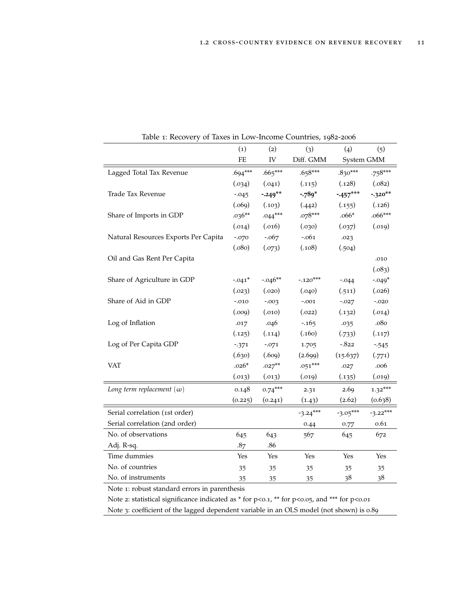<span id="page-18-0"></span>

|                                      | (1)       | (2)       | (3)        | (4)        | (5)        |
|--------------------------------------|-----------|-----------|------------|------------|------------|
|                                      | FE        | IV        | Diff. GMM  | System GMM |            |
| Lagged Total Tax Revenue             | $.694***$ | $.665***$ | $.658***$  | $.830***$  | $.758***$  |
|                                      | (.034)    | (.041)    | (.115)     | (.128)     | (.082)     |
| Trade Tax Revenue                    | $-0.045$  | $-.249**$ | $-789*$    | $-457***$  | $-320**$   |
|                                      | (.069)    | (.103)    | (.442)     | (.155)     | (.126)     |
| Share of Imports in GDP              | $.036**$  | $.044***$ | $.078***$  | $.066*$    | $.066***$  |
|                                      | (.014)    | (.016)    | (.030)     | (.037)     | (.019)     |
| Natural Resources Exports Per Capita | $-.070$   | $-.067$   | $-.061$    | .023       |            |
|                                      | (.080)    | (.073)    | (.108)     | (.504)     |            |
| Oil and Gas Rent Per Capita          |           |           |            |            | .010       |
|                                      |           |           |            |            | (.083)     |
| Share of Agriculture in GDP          | $-.041*$  | $-.046**$ | $-.120***$ | $-.044$    | $-.049*$   |
|                                      | (.023)    | (.020)    | (.040)     | (.511)     | (.026)     |
| Share of Aid in GDP                  | $-.010$   | $-0.003$  | $-.001$    | $-.027$    | $-.020$    |
|                                      | (0.009)   | (.010)    | (.022)     | (.132)     | (.014)     |
| Log of Inflation                     | .017      | .046      | $-165$     | .035       | .080       |
|                                      | (.125)    | (.114)    | (.160)     | (.733)     | (.117)     |
| Log of Per Capita GDP                | $-371$    | $-.071$   | 1.705      | $-0.822$   | $-545$     |
|                                      | (.630)    | (.609)    | (2.699)    | (15.637)   | (.771)     |
| VAT                                  | $.026*$   | $.027**$  | $.051***$  | .027       | .006       |
|                                      | (.013)    | (.013)    | (.019)     | (.135)     | (.019)     |
| Long term replacement $(\omega)$     | 0.148     | $0.74***$ | 2.31       | 2.69       | $1.32***$  |
|                                      | (0.225)   | (0.241)   | (1.43)     | (2.62)     | (0.638)    |
| Serial correlation (1st order)       |           |           | $-3.24***$ | $-3.05***$ | $-3.22***$ |
| Serial correlation (2nd order)       |           |           | 0.44       | 0.77       | 0.61       |
| No. of observations                  | 645       | 643       | 567        | 645        | 672        |
| Adj. R-sq.                           | .87       | .86       |            |            |            |
| Time dummies                         | Yes       | Yes       | Yes        | Yes        | Yes        |
| No. of countries                     | 35        | 35        | 35         | 35         | 35         |
| No. of instruments                   | 35        | 35        | 35         | 38         | 38         |

Table 1: Recovery of Taxes in Low-Income Countries, 1982-2006

Note 1: robust standard errors in parenthesis

Note 2: statistical significance indicated as  $*$  for p<0.1,  $**$  for p<0.05, and  $***$  for p<0.01 Note 3: coefficient of the lagged dependent variable in an OLS model (not shown) is 0.89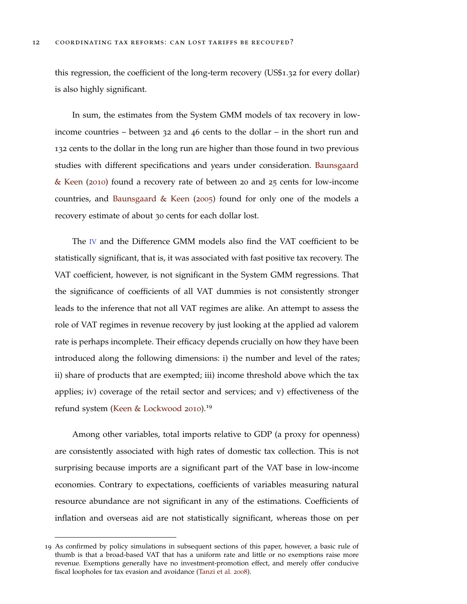this regression, the coefficient of the long-term recovery (US\$1.32 for every dollar) is also highly significant.

In sum, the estimates from the System GMM models of tax recovery in lowincome countries – between 32 and 46 cents to the dollar – in the short run and 132 cents to the dollar in the long run are higher than those found in two previous studies with different specifications and years under consideration. [Baunsgaard](#page-49-3) [& Keen](#page-49-3) ([2010](#page-49-3)) found a recovery rate of between 20 and 25 cents for low-income countries, and [Baunsgaard & Keen](#page-49-4) ([2005](#page-49-4)) found for only one of the models a recovery estimate of about 30 cents for each dollar lost.

The [IV](#page-6-7) and the Difference GMM models also find the VAT coefficient to be statistically significant, that is, it was associated with fast positive tax recovery. The VAT coefficient, however, is not significant in the System GMM regressions. That the significance of coefficients of all VAT dummies is not consistently stronger leads to the inference that not all VAT regimes are alike. An attempt to assess the role of VAT regimes in revenue recovery by just looking at the applied ad valorem rate is perhaps incomplete. Their efficacy depends crucially on how they have been introduced along the following dimensions: i) the number and level of the rates; ii) share of products that are exempted; iii) income threshold above which the tax applies; iv) coverage of the retail sector and services; and v) effectiveness of the refund system [\(Keen & Lockwood](#page-50-5) [2010](#page-50-5)).<sup>19</sup>

Among other variables, total imports relative to GDP (a proxy for openness) are consistently associated with high rates of domestic tax collection. This is not surprising because imports are a significant part of the VAT base in low-income economies. Contrary to expectations, coefficients of variables measuring natural resource abundance are not significant in any of the estimations. Coefficients of inflation and overseas aid are not statistically significant, whereas those on per

<sup>19</sup> As confirmed by policy simulations in subsequent sections of this paper, however, a basic rule of thumb is that a broad-based VAT that has a uniform rate and little or no exemptions raise more revenue. Exemptions generally have no investment-promotion effect, and merely offer conducive fiscal loopholes for tax evasion and avoidance [\(Tanzi et al.](#page-51-7) [2008](#page-51-7)).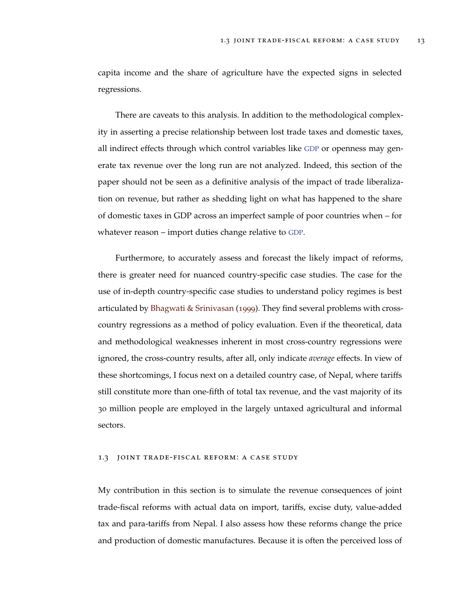capita income and the share of agriculture have the expected signs in selected regressions.

There are caveats to this analysis. In addition to the methodological complexity in asserting a precise relationship between lost trade taxes and domestic taxes, all indirect effects through which control variables like [GDP](#page-6-1) or openness may generate tax revenue over the long run are not analyzed. Indeed, this section of the paper should not be seen as a definitive analysis of the impact of trade liberalization on revenue, but rather as shedding light on what has happened to the share of domestic taxes in GDP across an imperfect sample of poor countries when – for whatever reason – import duties change relative to [GDP](#page-6-1).

Furthermore, to accurately assess and forecast the likely impact of reforms, there is greater need for nuanced country-specific case studies. The case for the use of in-depth country-specific case studies to understand policy regimes is best articulated by [Bhagwati & Srinivasan](#page-49-9) ([1999](#page-49-9)). They find several problems with crosscountry regressions as a method of policy evaluation. Even if the theoretical, data and methodological weaknesses inherent in most cross-country regressions were ignored, the cross-country results, after all, only indicate *average* effects. In view of these shortcomings, I focus next on a detailed country case, of Nepal, where tariffs still constitute more than one-fifth of total tax revenue, and the vast majority of its 30 million people are employed in the largely untaxed agricultural and informal sectors.

## <span id="page-20-0"></span>1.3 joint trade-fiscal reform: a case study

My contribution in this section is to simulate the revenue consequences of joint trade-fiscal reforms with actual data on import, tariffs, excise duty, value-added tax and para-tariffs from Nepal. I also assess how these reforms change the price and production of domestic manufactures. Because it is often the perceived loss of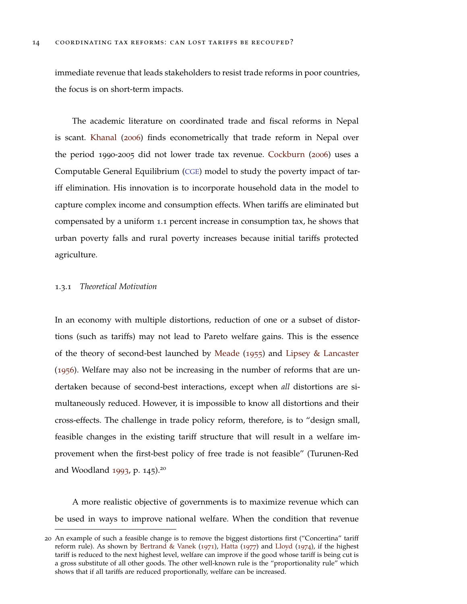immediate revenue that leads stakeholders to resist trade reforms in poor countries, the focus is on short-term impacts.

The academic literature on coordinated trade and fiscal reforms in Nepal is scant. [Khanal](#page-50-6) ([2006](#page-50-6)) finds econometrically that trade reform in Nepal over the period 1990-2005 did not lower trade tax revenue. [Cockburn](#page-49-10) ([2006](#page-49-10)) uses a Computable General Equilibrium ([CGE](#page-6-9)) model to study the poverty impact of tariff elimination. His innovation is to incorporate household data in the model to capture complex income and consumption effects. When tariffs are eliminated but compensated by a uniform 1.1 percent increase in consumption tax, he shows that urban poverty falls and rural poverty increases because initial tariffs protected agriculture.

#### <span id="page-21-0"></span>1.3.1 *Theoretical Motivation*

In an economy with multiple distortions, reduction of one or a subset of distortions (such as tariffs) may not lead to Pareto welfare gains. This is the essence of the theory of second-best launched by [Meade](#page-51-8) ([1955](#page-51-8)) and [Lipsey & Lancaster](#page-51-9) ([1956](#page-51-9)). Welfare may also not be increasing in the number of reforms that are undertaken because of second-best interactions, except when *all* distortions are simultaneously reduced. However, it is impossible to know all distortions and their cross-effects. The challenge in trade policy reform, therefore, is to "design small, feasible changes in the existing tariff structure that will result in a welfare improvement when the first-best policy of free trade is not feasible" (Turunen-Red and Woodland [1993](#page-52-3), p. 145).<sup>20</sup>

A more realistic objective of governments is to maximize revenue which can be used in ways to improve national welfare. When the condition that revenue

<sup>20</sup> An example of such a feasible change is to remove the biggest distortions first ("Concertina" tariff reform rule). As shown by [Bertrand & Vanek](#page-49-11) ([1971](#page-49-11)), [Hatta](#page-50-7) ([1977](#page-50-7)) and [Lloyd](#page-51-10) ([1974](#page-51-10)), if the highest tariff is reduced to the next highest level, welfare can improve if the good whose tariff is being cut is a gross substitute of all other goods. The other well-known rule is the "proportionality rule" which shows that if all tariffs are reduced proportionally, welfare can be increased.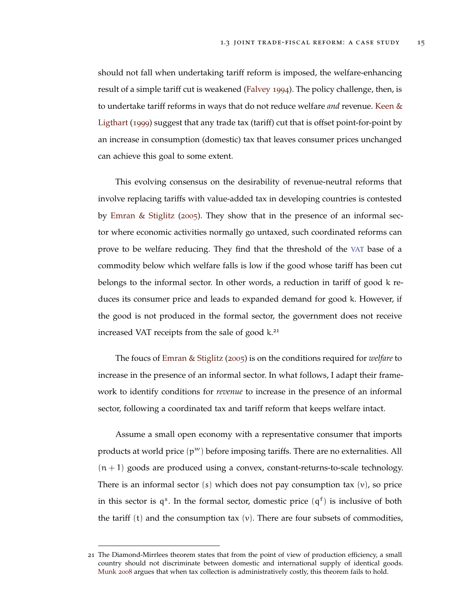should not fall when undertaking tariff reform is imposed, the welfare-enhancing result of a simple tariff cut is weakened [\(Falvey](#page-50-8) [1994](#page-50-8)). The policy challenge, then, is to undertake tariff reforms in ways that do not reduce welfare *and* revenue. [Keen &](#page-50-9) [Ligthart](#page-50-9) ([1999](#page-50-9)) suggest that any trade tax (tariff) cut that is offset point-for-point by an increase in consumption (domestic) tax that leaves consumer prices unchanged can achieve this goal to some extent.

This evolving consensus on the desirability of revenue-neutral reforms that involve replacing tariffs with value-added tax in developing countries is contested by [Emran & Stiglitz](#page-50-10) ([2005](#page-50-10)). They show that in the presence of an informal sector where economic activities normally go untaxed, such coordinated reforms can prove to be welfare reducing. They find that the threshold of the [VAT](#page-6-3) base of a commodity below which welfare falls is low if the good whose tariff has been cut belongs to the informal sector. In other words, a reduction in tariff of good k reduces its consumer price and leads to expanded demand for good k. However, if the good is not produced in the formal sector, the government does not receive increased VAT receipts from the sale of good k.<sup>21</sup>

The foucs of [Emran & Stiglitz](#page-50-10) ([2005](#page-50-10)) is on the conditions required for *welfare* to increase in the presence of an informal sector. In what follows, I adapt their framework to identify conditions for *revenue* to increase in the presence of an informal sector, following a coordinated tax and tariff reform that keeps welfare intact.

Assume a small open economy with a representative consumer that imports products at world price  $(p^w)$  before imposing tariffs. There are no externalities. All  $(n + 1)$  goods are produced using a convex, constant-returns-to-scale technology. There is an informal sector (s) which does not pay consumption tax  $(v)$ , so price in this sector is  $q^s$ . In the formal sector, domestic price  $(q^f)$  is inclusive of both the tariff  $(t)$  and the consumption tax  $(v)$ . There are four subsets of commodities,

<sup>21</sup> The Diamond-Mirrlees theorem states that from the point of view of production efficiency, a small country should not discriminate between domestic and international supply of identical goods. [Munk](#page-51-11) [2008](#page-51-11) argues that when tax collection is administratively costly, this theorem fails to hold.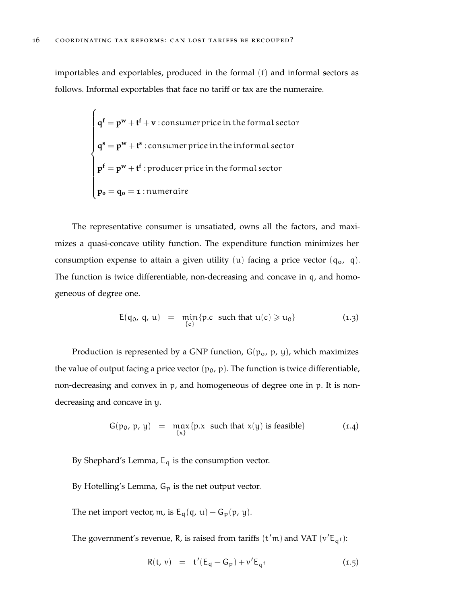importables and exportables, produced in the formal (f) and informal sectors as follows. Informal exportables that face no tariff or tax are the numeraire.

$$
\begin{cases}\n\mathbf{q}^f = \mathbf{p}^w + \mathbf{t}^f + \mathbf{v} : \text{consumer price in the formal sector} \\
\mathbf{q}^s = \mathbf{p}^w + \mathbf{t}^s : \text{consumer price in the informal sector} \\
\mathbf{p}^f = \mathbf{p}^w + \mathbf{t}^f : \text{producer price in the formal sector} \\
\mathbf{p}_o = \mathbf{q}_o = \mathbf{1} : \text{numeraire}\n\end{cases}
$$

The representative consumer is unsatiated, owns all the factors, and maximizes a quasi-concave utility function. The expenditure function minimizes her consumption expense to attain a given utility  $(u)$  facing a price vector  $(q_0, q)$ . The function is twice differentiable, non-decreasing and concave in q, and homogeneous of degree one.

$$
E(q_0, q, u) = \min_{\{c\}} \{p.c \text{ such that } u(c) \geqslant u_0\}
$$
 (1.3)

Production is represented by a GNP function,  $G(p_0, p, y)$ , which maximizes the value of output facing a price vector  $(p_0, p)$ . The function is twice differentiable, non-decreasing and convex in p, and homogeneous of degree one in p. It is nondecreasing and concave in y.

$$
G(p_0, p, y) = \max_{\{x\}} \{p.x \text{ such that } x(y) \text{ is feasible}\}\
$$
 (1.4)

By Shephard's Lemma,  $E_q$  is the consumption vector.

- By Hotelling's Lemma,  $G_p$  is the net output vector.
- The net import vector, m, is  $E_q(q, u) G_p(p, y)$ .

The government's revenue, R, is raised from tariffs  $(t'm)$  and VAT  $(v'E_{qf})$ :

<span id="page-23-0"></span>
$$
R(t, v) = t'(E_q - G_p) + v'E_{q^f}
$$
 (1.5)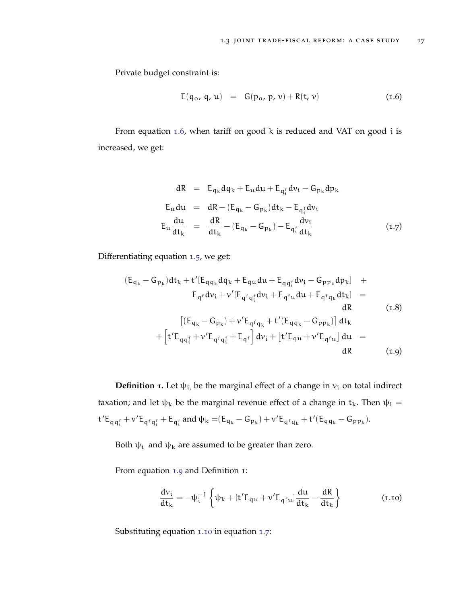Private budget constraint is:

<span id="page-24-0"></span>
$$
E(q_0, q, u) = G(p_0, p, v) + R(t, v)
$$
 (1.6)

From equation [1](#page-24-0).6, when tariff on good k is reduced and VAT on good i is increased, we get:

<span id="page-24-3"></span>
$$
dR = E_{q_k} dq_k + E_u du + E_{q_i^f} dv_i - G_{p_k} dp_k
$$
  
\n
$$
E_u du = dR - (E_{q_k} - G_{p_k}) dt_k - E_{q_i^f} dv_i
$$
  
\n
$$
E_u \frac{du}{dt_k} = \frac{dR}{dt_k} - (E_{q_k} - G_{p_k}) - E_{q_i^f} \frac{dv_i}{dt_k}
$$
 (1.7)

Differentiating equation 1.[5](#page-23-0), we get:

<span id="page-24-1"></span>
$$
(E_{q_k} - G_{p_k})dt_k + t'[E_{qq_k}dq_k + E_{qu}du + E_{qq_1^f}dv_i - G_{pp_k}dp_k] + E_{q^f}dv_i + v'[E_{q^fq_i^f}dv_i + E_{q^fu}du + E_{q^fq_k}dt_k] = dR
$$
\n(1.8)  
\n
$$
[(E_{q_k} - G_{p_k}) + v'E_{q^fq_k} + t'[E_{qq_k} - G_{pp_k})]dt_k + [t'E_{qq_i^f} + v'E_{q^fq_i^f} + E_{q^f}]dv_i + [t'E_{qu} + v'E_{q^fu}]du = dR
$$
\n(1.9)

**Definition <b>1**. Let  $\psi_i$ , be the marginal effect of a change in  $v_i$  on total indirect taxation; and let  $ψ$ <sub>k</sub> be the marginal revenue effect of a change in  $t$ <sub>k</sub>. Then  $ψ$ <sub>i</sub> =  $t' E_{qq_1^f} + \nu' E_{q^f q_1^f} + E_{q_1^f}$  and  $\psi_k = (E_{q_k} - G_{p_k}) + \nu' E_{q^f q_k} + t'(E_{q q_k} - G_{p p_k}).$ 

Both  $\psi_i$  and  $\psi_k$  are assumed to be greater than zero.

From equation [1](#page-24-1).9 and Definition 1:

<span id="page-24-2"></span>
$$
\frac{dv_i}{dt_k} = -\psi_i^{-1} \left\{ \psi_k + [t'E_{qu} + \nu'E_{q^fu}] \frac{du}{dt_k} - \frac{dR}{dt_k} \right\}
$$
(1.10)

Substituting equation 1.[10](#page-24-2) in equation [1](#page-24-3).7: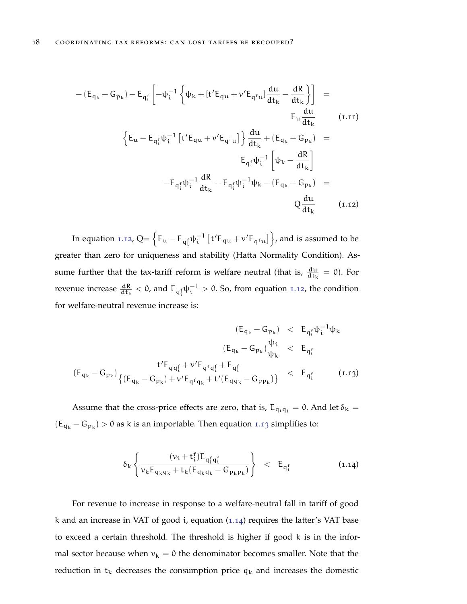<span id="page-25-0"></span>
$$
-(E_{q_k} - G_{p_k}) - E_{q_i^f} \left[ -\psi_i^{-1} \left\{ \psi_k + [t' E_{qu} + v' E_{q_i^f u}] \frac{du}{dt_k} - \frac{dR}{dt_k} \right\} \right] =
$$
  
\n
$$
E_u \frac{du}{dt_k}
$$
  
\n
$$
\left\{ E_u - E_{q_i^f} \psi_i^{-1} \left[ t' E_{qu} + v' E_{q_i^f u} \right] \right\} \frac{du}{dt_k} + (E_{q_k} - G_{p_k}) =
$$
  
\n
$$
E_{q_i^f} \psi_i^{-1} \left[ \psi_k - \frac{dR}{dt_k} \right]
$$
  
\n
$$
-E_{q_i^f} \psi_i^{-1} \frac{dR}{dt_k} + E_{q_i^f} \psi_i^{-1} \psi_k - (E_{q_k} - G_{p_k}) =
$$
  
\n
$$
Q \frac{du}{dt_k}
$$
  
\n(1.12)

In equation 1.[12](#page-25-0),  $Q = \left\{ E_u - E_{q_i^f} \psi_i^{-1} \left[ t' E_{qu} + v' E_{q^fu} \right] \right\}$ , and is assumed to be greater than zero for uniqueness and stability (Hatta Normality Condition). Assume further that the tax-tariff reform is welfare neutral (that is,  $\frac{du}{dt_k} = 0$ ). For revenue increase  $\frac{dR}{dt_k} < 0$ , and  $E_{q_i^f} \psi_i^{-1} > 0$ . So, from equation 1.[12](#page-25-0), the condition for welfare-neutral revenue increase is:

<span id="page-25-1"></span>
$$
(E_{q_k} - G_{p_k}) \ < \ E_{q_i^f} \psi_i^{-1} \psi_k
$$
\n
$$
(E_{q_k} - G_{p_k}) \frac{\psi_i}{\psi_k} \ < \ E_{q_i^f}
$$
\n
$$
(E_{q_k} - G_{p_k}) \frac{t' E_{q q_i^f} + \nu' E_{q^f q_i^f} + E_{q_i^f}}{\{(E_{q_k} - G_{p_k}) + \nu' E_{q^f q_k} + t'(E_{q q_k} - G_{p p_k})\}} \ < \ E_{q_i^f}
$$
\n
$$
(1.13)
$$

Assume that the cross-price effects are zero, that is,  $E_{q_i q_j} = 0$ . And let  $\delta_k =$  $(E_{q_k} - G_{p_k}) > 0$  as k is an importable. Then equation 1.[13](#page-25-1) simplifies to:

<span id="page-25-2"></span>
$$
\delta_{k} \left\{ \frac{(\nu_{i} + t_{i}^{f}) E_{q_{i}^{f} q_{i}^{f}}}{\nu_{k} E_{q_{k}q_{k}} + t_{k} (E_{q_{k}q_{k}} - G_{p_{k}p_{k}})} \right\} \quad < \quad E_{q_{i}^{f}} \tag{1.14}
$$

For revenue to increase in response to a welfare-neutral fall in tariff of good k and an increase in VAT of good *i*, equation  $(1.14)$  $(1.14)$  $(1.14)$  requires the latter's VAT base to exceed a certain threshold. The threshold is higher if good k is in the informal sector because when  $v_k = 0$  the denominator becomes smaller. Note that the reduction in  $t_k$  decreases the consumption price  $q_k$  and increases the domestic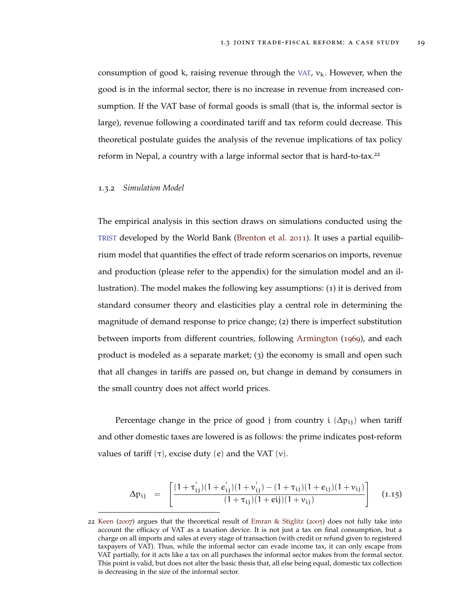consumption of good k, raising revenue through the [VAT](#page-6-3),  $v_k$ . However, when the good is in the informal sector, there is no increase in revenue from increased consumption. If the VAT base of formal goods is small (that is, the informal sector is large), revenue following a coordinated tariff and tax reform could decrease. This theoretical postulate guides the analysis of the revenue implications of tax policy reform in Nepal, a country with a large informal sector that is hard-to-tax.<sup>22</sup>

## <span id="page-26-0"></span>1.3.2 *Simulation Model*

The empirical analysis in this section draws on simulations conducted using the [TRIST](#page-6-10) developed by the World Bank [\(Brenton et al.](#page-49-12) [2011](#page-49-12)). It uses a partial equilibrium model that quantifies the effect of trade reform scenarios on imports, revenue and production (please refer to the appendix) for the simulation model and an illustration). The model makes the following key assumptions: (1) it is derived from standard consumer theory and elasticities play a central role in determining the magnitude of demand response to price change; (2) there is imperfect substitution between imports from different countries, following [Armington](#page-49-13) ([1969](#page-49-13)), and each product is modeled as a separate market; (3) the economy is small and open such that all changes in tariffs are passed on, but change in demand by consumers in the small country does not affect world prices.

Percentage change in the price of good j from country i  $(\Delta p_{ij})$  when tariff and other domestic taxes are lowered is as follows: the prime indicates post-reform values of tariff  $(τ)$ , excise duty  $(e)$  and the VAT  $(ν)$ .

<span id="page-26-1"></span>
$$
\Delta p_{ij} = \left[ \frac{(1 + \tau'_{ij})(1 + e'_{ij})(1 + \nu'_{ij}) - (1 + \tau_{ij})(1 + e_{ij})(1 + \nu_{ij})}{(1 + \tau_{ij})(1 + ei)(1 + \nu_{ij})} \right]
$$
(1.15)

<sup>22</sup> [Keen](#page-50-11) ([2007](#page-50-11)) argues that the theoretical result of [Emran & Stiglitz](#page-50-10) ([2005](#page-50-10)) does not fully take into account the efficacy of VAT as a taxation device. It is not just a tax on final consumption, but a charge on all imports and sales at every stage of transaction (with credit or refund given to registered taxpayers of VAT). Thus, while the informal sector can evade income tax, it can only escape from VAT partially, for it acts like a tax on all purchases the informal sector makes from the formal sector. This point is valid, but does not alter the basic thesis that, all else being equal, domestic tax collection is decreasing in the size of the informal sector.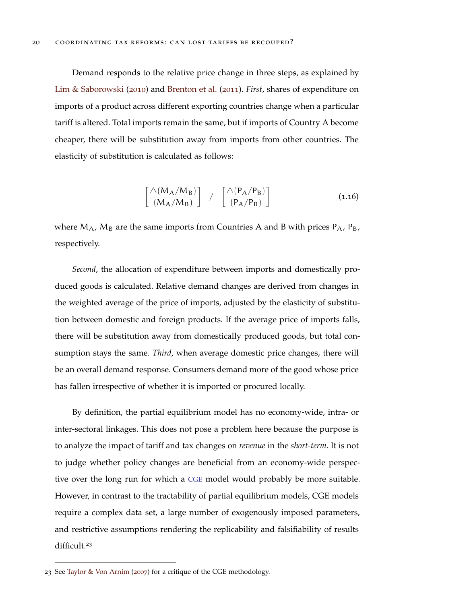Demand responds to the relative price change in three steps, as explained by [Lim & Saborowski](#page-51-12) ([2010](#page-51-12)) and [Brenton et al.](#page-49-12) ([2011](#page-49-12)). *First*, shares of expenditure on imports of a product across different exporting countries change when a particular tariff is altered. Total imports remain the same, but if imports of Country A become cheaper, there will be substitution away from imports from other countries. The elasticity of substitution is calculated as follows:

$$
\left[\frac{\triangle(M_A/M_B)}{(M_A/M_B)}\right] / \left[\frac{\triangle(P_A/P_B)}{(P_A/P_B)}\right]
$$
\n(1.16)

where  $M_A$ ,  $M_B$  are the same imports from Countries A and B with prices  $P_A$ ,  $P_B$ , respectively.

*Second*, the allocation of expenditure between imports and domestically produced goods is calculated. Relative demand changes are derived from changes in the weighted average of the price of imports, adjusted by the elasticity of substitution between domestic and foreign products. If the average price of imports falls, there will be substitution away from domestically produced goods, but total consumption stays the same. *Third*, when average domestic price changes, there will be an overall demand response. Consumers demand more of the good whose price has fallen irrespective of whether it is imported or procured locally.

By definition, the partial equilibrium model has no economy-wide, intra- or inter-sectoral linkages. This does not pose a problem here because the purpose is to analyze the impact of tariff and tax changes on *revenue* in the *short-term*. It is not to judge whether policy changes are beneficial from an economy-wide perspective over the long run for which a [CGE](#page-6-9) model would probably be more suitable. However, in contrast to the tractability of partial equilibrium models, CGE models require a complex data set, a large number of exogenously imposed parameters, and restrictive assumptions rendering the replicability and falsifiability of results difficult.<sup>23</sup>

<sup>23</sup> See [Taylor & Von Arnim](#page-51-13) ([2007](#page-51-13)) for a critique of the CGE methodology.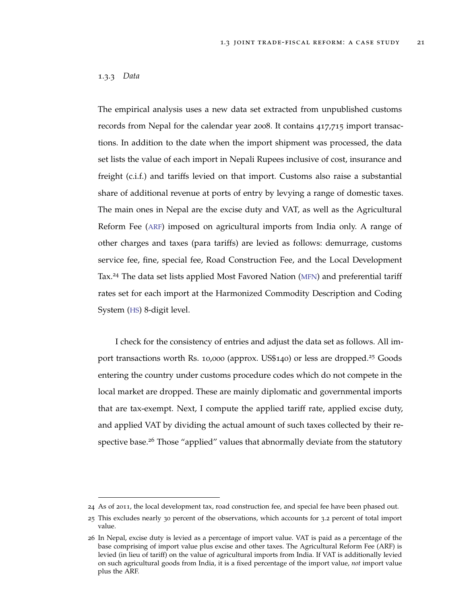# <span id="page-28-0"></span>1.3.3 *Data*

The empirical analysis uses a new data set extracted from unpublished customs records from Nepal for the calendar year 2008. It contains 417,715 import transactions. In addition to the date when the import shipment was processed, the data set lists the value of each import in Nepali Rupees inclusive of cost, insurance and freight (c.i.f.) and tariffs levied on that import. Customs also raise a substantial share of additional revenue at ports of entry by levying a range of domestic taxes. The main ones in Nepal are the excise duty and VAT, as well as the Agricultural Reform Fee ([ARF](#page-6-11)) imposed on agricultural imports from India only. A range of other charges and taxes (para tariffs) are levied as follows: demurrage, customs service fee, fine, special fee, Road Construction Fee, and the Local Development Tax.<sup>24</sup> The data set lists applied Most Favored Nation ([MFN](#page-6-12)) and preferential tariff rates set for each import at the Harmonized Commodity Description and Coding System ([HS](#page-6-13)) 8-digit level.

I check for the consistency of entries and adjust the data set as follows. All import transactions worth Rs. 10,000 (approx. US\$140) or less are dropped.<sup>25</sup> Goods entering the country under customs procedure codes which do not compete in the local market are dropped. These are mainly diplomatic and governmental imports that are tax-exempt. Next, I compute the applied tariff rate, applied excise duty, and applied VAT by dividing the actual amount of such taxes collected by their respective base.<sup>26</sup> Those "applied" values that abnormally deviate from the statutory

<sup>24</sup> As of 2011, the local development tax, road construction fee, and special fee have been phased out.

<sup>25</sup> This excludes nearly 30 percent of the observations, which accounts for 3.2 percent of total import value.

<sup>26</sup> In Nepal, excise duty is levied as a percentage of import value. VAT is paid as a percentage of the base comprising of import value plus excise and other taxes. The Agricultural Reform Fee (ARF) is levied (in lieu of tariff) on the value of agricultural imports from India. If VAT is additionally levied on such agricultural goods from India, it is a fixed percentage of the import value, *not* import value plus the ARF.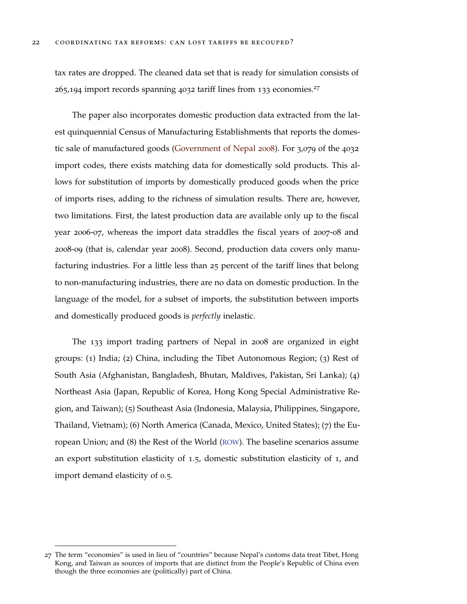tax rates are dropped. The cleaned data set that is ready for simulation consists of  $265,194$  import records spanning  $4032$  tariff lines from 133 economies.<sup>27</sup>

The paper also incorporates domestic production data extracted from the latest quinquennial Census of Manufacturing Establishments that reports the domestic sale of manufactured goods [\(Government of Nepal](#page-50-12) [2008](#page-50-12)). For 3,079 of the 4032 import codes, there exists matching data for domestically sold products. This allows for substitution of imports by domestically produced goods when the price of imports rises, adding to the richness of simulation results. There are, however, two limitations. First, the latest production data are available only up to the fiscal year 2006-07, whereas the import data straddles the fiscal years of 2007-08 and 2008-09 (that is, calendar year 2008). Second, production data covers only manufacturing industries. For a little less than 25 percent of the tariff lines that belong to non-manufacturing industries, there are no data on domestic production. In the language of the model, for a subset of imports, the substitution between imports and domestically produced goods is *perfectly* inelastic.

The 133 import trading partners of Nepal in 2008 are organized in eight groups: (1) India; (2) China, including the Tibet Autonomous Region; (3) Rest of South Asia (Afghanistan, Bangladesh, Bhutan, Maldives, Pakistan, Sri Lanka); (4) Northeast Asia (Japan, Republic of Korea, Hong Kong Special Administrative Region, and Taiwan); (5) Southeast Asia (Indonesia, Malaysia, Philippines, Singapore, Thailand, Vietnam); (6) North America (Canada, Mexico, United States); (7) the European Union; and (8) the Rest of the World ([ROW](#page-6-14)). The baseline scenarios assume an export substitution elasticity of 1.5, domestic substitution elasticity of 1, and import demand elasticity of 0.5.

<sup>27</sup> The term "economies" is used in lieu of "countries" because Nepal's customs data treat Tibet, Hong Kong, and Taiwan as sources of imports that are distinct from the People's Republic of China even though the three economies are (politically) part of China.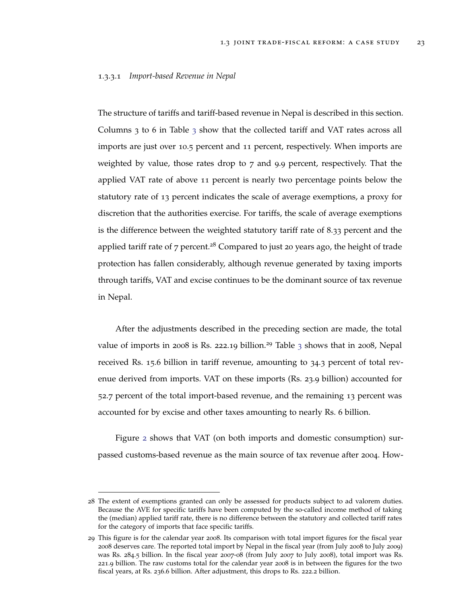#### 1.3.3.1 *Import-based Revenue in Nepal*

The structure of tariffs and tariff-based revenue in Nepal is described in this section. Columns  $3$  to 6 in Table  $3$  show that the collected tariff and VAT rates across all imports are just over 10.5 percent and 11 percent, respectively. When imports are weighted by value, those rates drop to 7 and 9.9 percent, respectively. That the applied VAT rate of above 11 percent is nearly two percentage points below the statutory rate of 13 percent indicates the scale of average exemptions, a proxy for discretion that the authorities exercise. For tariffs, the scale of average exemptions is the difference between the weighted statutory tariff rate of 8.33 percent and the applied tariff rate of  $7$  percent.<sup>28</sup> Compared to just 20 years ago, the height of trade protection has fallen considerably, although revenue generated by taxing imports through tariffs, VAT and excise continues to be the dominant source of tax revenue in Nepal.

After the adjustments described in the preceding section are made, the total value of imports in 2008 is Rs. 222.19 billion.<sup>29</sup> Table [3](#page-58-1) shows that in 2008, Nepal received Rs. 15.6 billion in tariff revenue, amounting to 34.3 percent of total revenue derived from imports. VAT on these imports (Rs. 23.9 billion) accounted for 52.7 percent of the total import-based revenue, and the remaining 13 percent was accounted for by excise and other taxes amounting to nearly Rs. 6 billion.

Figure [2](#page-31-0) shows that VAT (on both imports and domestic consumption) surpassed customs-based revenue as the main source of tax revenue after 2004. How-

<sup>28</sup> The extent of exemptions granted can only be assessed for products subject to ad valorem duties. Because the AVE for specific tariffs have been computed by the so-called income method of taking the (median) applied tariff rate, there is no difference between the statutory and collected tariff rates for the category of imports that face specific tariffs.

<sup>29</sup> This figure is for the calendar year 2008. Its comparison with total import figures for the fiscal year 2008 deserves care. The reported total import by Nepal in the fiscal year (from July 2008 to July 2009) was Rs. 284.5 billion. In the fiscal year 2007-08 (from July 2007 to July 2008), total import was Rs. 221.9 billion. The raw customs total for the calendar year 2008 is in between the figures for the two fiscal years, at Rs. 236.6 billion. After adjustment, this drops to Rs. 222.2 billion.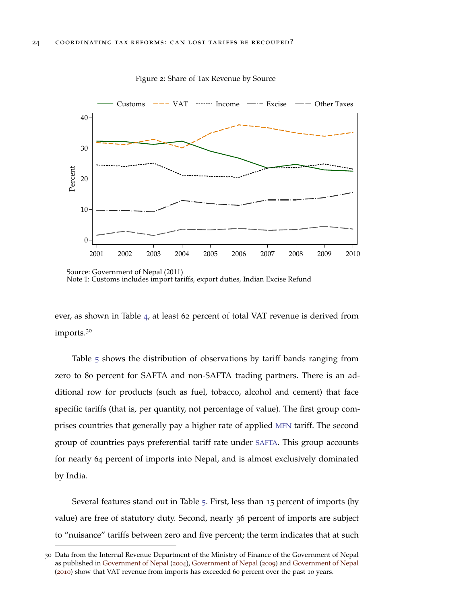<span id="page-31-0"></span>

Figure 2: Share of Tax Revenue by Source

ever, as shown in Table [4](#page-58-2), at least 62 percent of total VAT revenue is derived from imports.<sup>30</sup>

Table [5](#page-58-3) shows the distribution of observations by tariff bands ranging from zero to 80 percent for SAFTA and non-SAFTA trading partners. There is an additional row for products (such as fuel, tobacco, alcohol and cement) that face specific tariffs (that is, per quantity, not percentage of value). The first group comprises countries that generally pay a higher rate of applied [MFN](#page-6-12) tariff. The second group of countries pays preferential tariff rate under [SAFTA](#page-6-4). This group accounts for nearly 64 percent of imports into Nepal, and is almost exclusively dominated by India.

Several features stand out in Table [5](#page-58-3). First, less than 15 percent of imports (by value) are free of statutory duty. Second, nearly 36 percent of imports are subject to "nuisance" tariffs between zero and five percent; the term indicates that at such

Source: Government of Nepal (2011 Source: Government of Nepal (2011)<br>Note 1: Customs includes import tariffs, export duties, Indian Excise Refund

<sup>30</sup> Data from the Internal Revenue Department of the Ministry of Finance of the Government of Nepal as published in [Government of Nepal](#page-50-13) ([2004](#page-50-13)), [Government of Nepal](#page-50-14) ([2009](#page-50-14)) and [Government of Nepal](#page-50-15) ([2010](#page-50-15)) show that VAT revenue from imports has exceeded 60 percent over the past 10 years.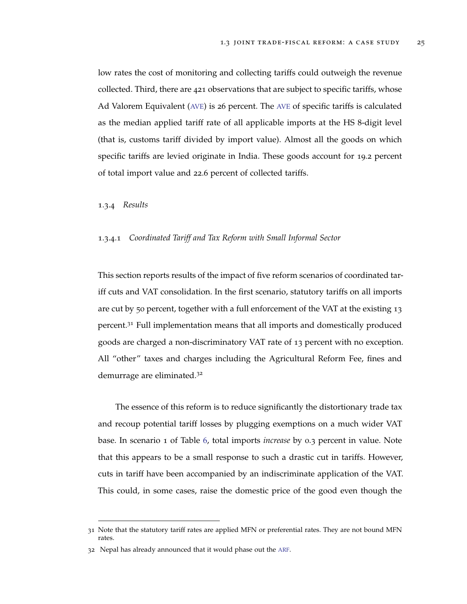low rates the cost of monitoring and collecting tariffs could outweigh the revenue collected. Third, there are 421 observations that are subject to specific tariffs, whose Ad Valorem Equivalent ([AVE](#page-6-15)) is 26 percent. The [AVE](#page-6-15) of specific tariffs is calculated as the median applied tariff rate of all applicable imports at the HS 8-digit level (that is, customs tariff divided by import value). Almost all the goods on which specific tariffs are levied originate in India. These goods account for 19.2 percent of total import value and 22.6 percent of collected tariffs.

## <span id="page-32-0"></span>1.3.4 *Results*

# 1.3.4.1 *Coordinated Tariff and Tax Reform with Small Informal Sector*

This section reports results of the impact of five reform scenarios of coordinated tariff cuts and VAT consolidation. In the first scenario, statutory tariffs on all imports are cut by 50 percent, together with a full enforcement of the VAT at the existing 13 percent.<sup>31</sup> Full implementation means that all imports and domestically produced goods are charged a non-discriminatory VAT rate of 13 percent with no exception. All "other" taxes and charges including the Agricultural Reform Fee, fines and demurrage are eliminated.<sup>32</sup>

The essence of this reform is to reduce significantly the distortionary trade tax and recoup potential tariff losses by plugging exemptions on a much wider VAT base. In scenario 1 of Table [6](#page-59-0), total imports *increase* by 0.3 percent in value. Note that this appears to be a small response to such a drastic cut in tariffs. However, cuts in tariff have been accompanied by an indiscriminate application of the VAT. This could, in some cases, raise the domestic price of the good even though the

<sup>31</sup> Note that the statutory tariff rates are applied MFN or preferential rates. They are not bound MFN rates.

<sup>32</sup> Nepal has already announced that it would phase out the [ARF](#page-6-11).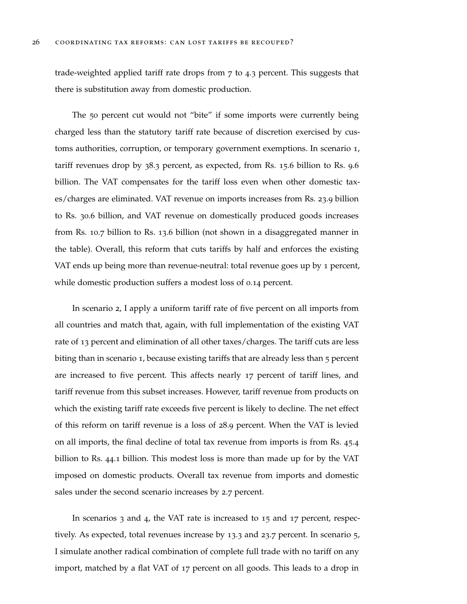trade-weighted applied tariff rate drops from 7 to 4.3 percent. This suggests that there is substitution away from domestic production.

The 50 percent cut would not "bite" if some imports were currently being charged less than the statutory tariff rate because of discretion exercised by customs authorities, corruption, or temporary government exemptions. In scenario 1, tariff revenues drop by 38.3 percent, as expected, from Rs. 15.6 billion to Rs. 9.6 billion. The VAT compensates for the tariff loss even when other domestic taxes/charges are eliminated. VAT revenue on imports increases from Rs. 23.9 billion to Rs. 30.6 billion, and VAT revenue on domestically produced goods increases from Rs. 10.7 billion to Rs. 13.6 billion (not shown in a disaggregated manner in the table). Overall, this reform that cuts tariffs by half and enforces the existing VAT ends up being more than revenue-neutral: total revenue goes up by 1 percent, while domestic production suffers a modest loss of 0.14 percent.

In scenario 2, I apply a uniform tariff rate of five percent on all imports from all countries and match that, again, with full implementation of the existing VAT rate of 13 percent and elimination of all other taxes/charges. The tariff cuts are less biting than in scenario 1, because existing tariffs that are already less than 5 percent are increased to five percent. This affects nearly 17 percent of tariff lines, and tariff revenue from this subset increases. However, tariff revenue from products on which the existing tariff rate exceeds five percent is likely to decline. The net effect of this reform on tariff revenue is a loss of 28.9 percent. When the VAT is levied on all imports, the final decline of total tax revenue from imports is from Rs. 45.4 billion to Rs. 44.1 billion. This modest loss is more than made up for by the VAT imposed on domestic products. Overall tax revenue from imports and domestic sales under the second scenario increases by 2.7 percent.

In scenarios 3 and 4, the VAT rate is increased to 15 and 17 percent, respectively. As expected, total revenues increase by 13.3 and 23.7 percent. In scenario 5, I simulate another radical combination of complete full trade with no tariff on any import, matched by a flat VAT of 17 percent on all goods. This leads to a drop in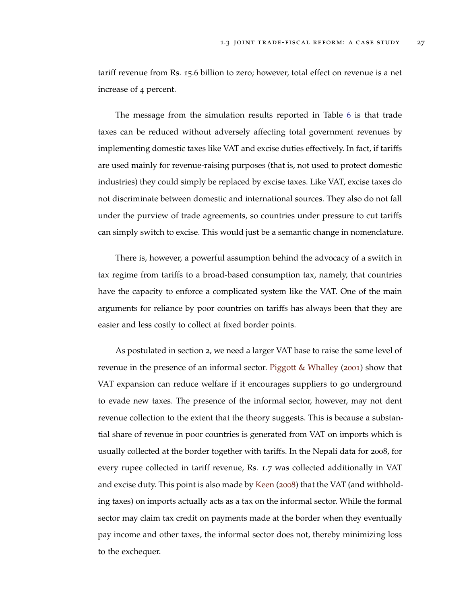tariff revenue from Rs. 15.6 billion to zero; however, total effect on revenue is a net increase of 4 percent.

The message from the simulation results reported in Table [6](#page-59-0) is that trade taxes can be reduced without adversely affecting total government revenues by implementing domestic taxes like VAT and excise duties effectively. In fact, if tariffs are used mainly for revenue-raising purposes (that is, not used to protect domestic industries) they could simply be replaced by excise taxes. Like VAT, excise taxes do not discriminate between domestic and international sources. They also do not fall under the purview of trade agreements, so countries under pressure to cut tariffs can simply switch to excise. This would just be a semantic change in nomenclature.

There is, however, a powerful assumption behind the advocacy of a switch in tax regime from tariffs to a broad-based consumption tax, namely, that countries have the capacity to enforce a complicated system like the VAT. One of the main arguments for reliance by poor countries on tariffs has always been that they are easier and less costly to collect at fixed border points.

As postulated in section 2, we need a larger VAT base to raise the same level of revenue in the presence of an informal sector. [Piggott & Whalley](#page-51-14) ([2001](#page-51-14)) show that VAT expansion can reduce welfare if it encourages suppliers to go underground to evade new taxes. The presence of the informal sector, however, may not dent revenue collection to the extent that the theory suggests. This is because a substantial share of revenue in poor countries is generated from VAT on imports which is usually collected at the border together with tariffs. In the Nepali data for 2008, for every rupee collected in tariff revenue, Rs. 1.7 was collected additionally in VAT and excise duty. This point is also made by [Keen](#page-50-16) ([2008](#page-50-16)) that the VAT (and withholding taxes) on imports actually acts as a tax on the informal sector. While the formal sector may claim tax credit on payments made at the border when they eventually pay income and other taxes, the informal sector does not, thereby minimizing loss to the exchequer.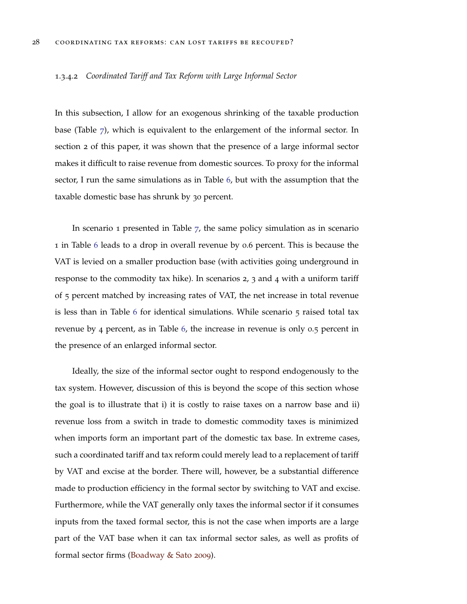#### 1.3.4.2 *Coordinated Tariff and Tax Reform with Large Informal Sector*

In this subsection, I allow for an exogenous shrinking of the taxable production base (Table [7](#page-60-0)), which is equivalent to the enlargement of the informal sector. In section 2 of this paper, it was shown that the presence of a large informal sector makes it difficult to raise revenue from domestic sources. To proxy for the informal sector, I run the same simulations as in Table [6](#page-59-0), but with the assumption that the taxable domestic base has shrunk by 30 percent.

In scenario 1 presented in Table [7](#page-60-0), the same policy simulation as in scenario 1 in Table [6](#page-59-0) leads to a drop in overall revenue by 0.6 percent. This is because the VAT is levied on a smaller production base (with activities going underground in response to the commodity tax hike). In scenarios 2, 3 and 4 with a uniform tariff of 5 percent matched by increasing rates of VAT, the net increase in total revenue is less than in Table [6](#page-59-0) for identical simulations. While scenario 5 raised total tax revenue by 4 percent, as in Table [6](#page-59-0), the increase in revenue is only 0.5 percent in the presence of an enlarged informal sector.

Ideally, the size of the informal sector ought to respond endogenously to the tax system. However, discussion of this is beyond the scope of this section whose the goal is to illustrate that i) it is costly to raise taxes on a narrow base and ii) revenue loss from a switch in trade to domestic commodity taxes is minimized when imports form an important part of the domestic tax base. In extreme cases, such a coordinated tariff and tax reform could merely lead to a replacement of tariff by VAT and excise at the border. There will, however, be a substantial difference made to production efficiency in the formal sector by switching to VAT and excise. Furthermore, while the VAT generally only taxes the informal sector if it consumes inputs from the taxed formal sector, this is not the case when imports are a large part of the VAT base when it can tax informal sector sales, as well as profits of formal sector firms [\(Boadway & Sato](#page-49-14) [2009](#page-49-14)).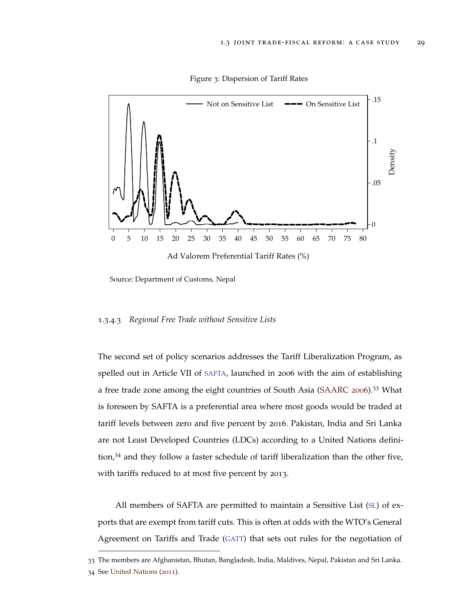<span id="page-36-0"></span>

Figure 3: Dispersion of Tariff Rates

Source: Department of Customs, Nepal

## 1.3.4.3 *Regional Free Trade without Sensitive Lists*

The second set of policy scenarios addresses the Tariff Liberalization Program, as spelled out in Article VII of [SAFTA](#page-6-4), launched in 2006 with the aim of establishing a free trade zone among the eight countries of South Asia [\(SAARC](#page-51-15) [2006](#page-51-15)).<sup>33</sup> What is foreseen by SAFTA is a preferential area where most goods would be traded at tariff levels between zero and five percent by 2016. Pakistan, India and Sri Lanka are not Least Developed Countries (LDCs) according to a United Nations definition,<sup>34</sup> and they follow a faster schedule of tariff liberalization than the other five, with tariffs reduced to at most five percent by 2013.

All members of SAFTA are permitted to maintain a Sensitive List ([SL](#page-6-16)) of exports that are exempt from tariff cuts. This is often at odds with the WTO's General Agreement on Tariffs and Trade ([GATT](#page-6-17)) that sets out rules for the negotiation of

<sup>33</sup> The members are Afghanistan, Bhutan, Bangladesh, India, Maldives, Nepal, Pakistan and Sri Lanka. 34 See [United Nations](#page-52-1) ([2011](#page-52-1)).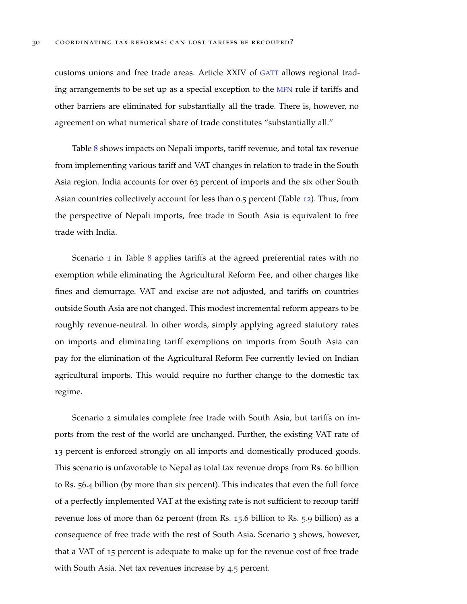customs unions and free trade areas. Article XXIV of [GATT](#page-6-17) allows regional trading arrangements to be set up as a special exception to the [MFN](#page-6-12) rule if tariffs and other barriers are eliminated for substantially all the trade. There is, however, no agreement on what numerical share of trade constitutes "substantially all."

Table [8](#page-61-0) shows impacts on Nepali imports, tariff revenue, and total tax revenue from implementing various tariff and VAT changes in relation to trade in the South Asia region. India accounts for over 63 percent of imports and the six other South Asian countries collectively account for less than 0.5 percent (Table [12](#page-65-1)). Thus, from the perspective of Nepali imports, free trade in South Asia is equivalent to free trade with India.

Scenario 1 in Table [8](#page-61-0) applies tariffs at the agreed preferential rates with no exemption while eliminating the Agricultural Reform Fee, and other charges like fines and demurrage. VAT and excise are not adjusted, and tariffs on countries outside South Asia are not changed. This modest incremental reform appears to be roughly revenue-neutral. In other words, simply applying agreed statutory rates on imports and eliminating tariff exemptions on imports from South Asia can pay for the elimination of the Agricultural Reform Fee currently levied on Indian agricultural imports. This would require no further change to the domestic tax regime.

Scenario 2 simulates complete free trade with South Asia, but tariffs on imports from the rest of the world are unchanged. Further, the existing VAT rate of 13 percent is enforced strongly on all imports and domestically produced goods. This scenario is unfavorable to Nepal as total tax revenue drops from Rs. 60 billion to Rs. 56.4 billion (by more than six percent). This indicates that even the full force of a perfectly implemented VAT at the existing rate is not sufficient to recoup tariff revenue loss of more than 62 percent (from Rs. 15.6 billion to Rs. 5.9 billion) as a consequence of free trade with the rest of South Asia. Scenario 3 shows, however, that a VAT of 15 percent is adequate to make up for the revenue cost of free trade with South Asia. Net tax revenues increase by 4.5 percent.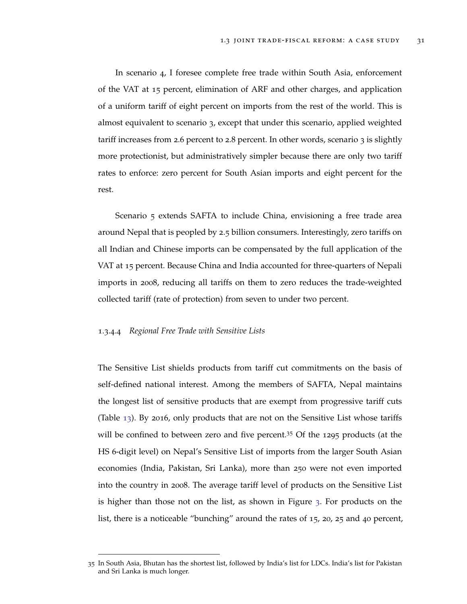In scenario 4, I foresee complete free trade within South Asia, enforcement of the VAT at 15 percent, elimination of ARF and other charges, and application of a uniform tariff of eight percent on imports from the rest of the world. This is almost equivalent to scenario 3, except that under this scenario, applied weighted tariff increases from 2.6 percent to 2.8 percent. In other words, scenario 3 is slightly more protectionist, but administratively simpler because there are only two tariff rates to enforce: zero percent for South Asian imports and eight percent for the rest.

Scenario 5 extends SAFTA to include China, envisioning a free trade area around Nepal that is peopled by 2.5 billion consumers. Interestingly, zero tariffs on all Indian and Chinese imports can be compensated by the full application of the VAT at 15 percent. Because China and India accounted for three-quarters of Nepali imports in 2008, reducing all tariffs on them to zero reduces the trade-weighted collected tariff (rate of protection) from seven to under two percent.

# 1.3.4.4 *Regional Free Trade with Sensitive Lists*

The Sensitive List shields products from tariff cut commitments on the basis of self-defined national interest. Among the members of SAFTA, Nepal maintains the longest list of sensitive products that are exempt from progressive tariff cuts (Table [13](#page-65-2)). By 2016, only products that are not on the Sensitive List whose tariffs will be confined to between zero and five percent.<sup>35</sup> Of the 1295 products (at the HS 6-digit level) on Nepal's Sensitive List of imports from the larger South Asian economies (India, Pakistan, Sri Lanka), more than 250 were not even imported into the country in 2008. The average tariff level of products on the Sensitive List is higher than those not on the list, as shown in Figure [3](#page-36-0). For products on the list, there is a noticeable "bunching" around the rates of 15, 20, 25 and 40 percent,

<sup>35</sup> In South Asia, Bhutan has the shortest list, followed by India's list for LDCs. India's list for Pakistan and Sri Lanka is much longer.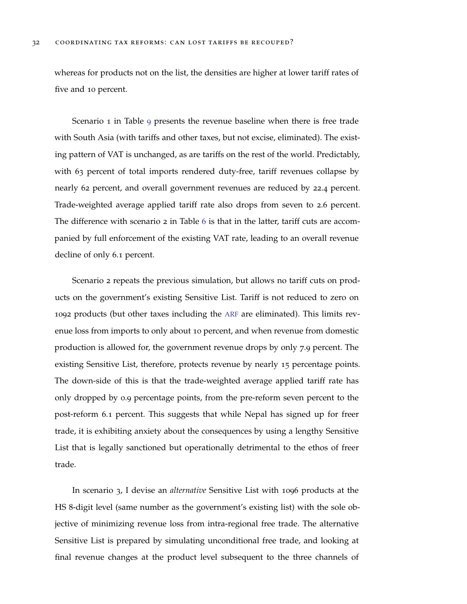whereas for products not on the list, the densities are higher at lower tariff rates of five and 10 percent.

Scenario 1 in Table [9](#page-62-0) presents the revenue baseline when there is free trade with South Asia (with tariffs and other taxes, but not excise, eliminated). The existing pattern of VAT is unchanged, as are tariffs on the rest of the world. Predictably, with 63 percent of total imports rendered duty-free, tariff revenues collapse by nearly 62 percent, and overall government revenues are reduced by 22.4 percent. Trade-weighted average applied tariff rate also drops from seven to 2.6 percent. The difference with scenario 2 in Table [6](#page-59-0) is that in the latter, tariff cuts are accompanied by full enforcement of the existing VAT rate, leading to an overall revenue decline of only 6.1 percent.

Scenario 2 repeats the previous simulation, but allows no tariff cuts on products on the government's existing Sensitive List. Tariff is not reduced to zero on 1092 products (but other taxes including the [ARF](#page-6-11) are eliminated). This limits revenue loss from imports to only about 10 percent, and when revenue from domestic production is allowed for, the government revenue drops by only 7.9 percent. The existing Sensitive List, therefore, protects revenue by nearly 15 percentage points. The down-side of this is that the trade-weighted average applied tariff rate has only dropped by 0.9 percentage points, from the pre-reform seven percent to the post-reform 6.1 percent. This suggests that while Nepal has signed up for freer trade, it is exhibiting anxiety about the consequences by using a lengthy Sensitive List that is legally sanctioned but operationally detrimental to the ethos of freer trade.

In scenario 3, I devise an *alternative* Sensitive List with 1096 products at the HS 8-digit level (same number as the government's existing list) with the sole objective of minimizing revenue loss from intra-regional free trade. The alternative Sensitive List is prepared by simulating unconditional free trade, and looking at final revenue changes at the product level subsequent to the three channels of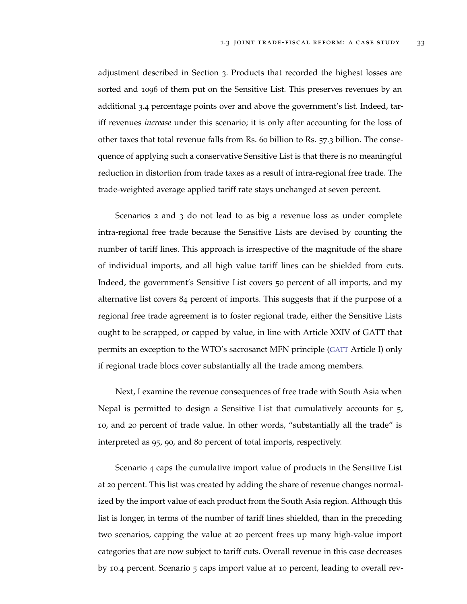adjustment described in Section 3. Products that recorded the highest losses are sorted and 1096 of them put on the Sensitive List. This preserves revenues by an additional 3.4 percentage points over and above the government's list. Indeed, tariff revenues *increase* under this scenario; it is only after accounting for the loss of other taxes that total revenue falls from Rs. 60 billion to Rs. 57.3 billion. The consequence of applying such a conservative Sensitive List is that there is no meaningful reduction in distortion from trade taxes as a result of intra-regional free trade. The trade-weighted average applied tariff rate stays unchanged at seven percent.

Scenarios 2 and 3 do not lead to as big a revenue loss as under complete intra-regional free trade because the Sensitive Lists are devised by counting the number of tariff lines. This approach is irrespective of the magnitude of the share of individual imports, and all high value tariff lines can be shielded from cuts. Indeed, the government's Sensitive List covers 50 percent of all imports, and my alternative list covers 84 percent of imports. This suggests that if the purpose of a regional free trade agreement is to foster regional trade, either the Sensitive Lists ought to be scrapped, or capped by value, in line with Article XXIV of GATT that permits an exception to the WTO's sacrosanct MFN principle ([GATT](#page-6-17) Article I) only if regional trade blocs cover substantially all the trade among members.

Next, I examine the revenue consequences of free trade with South Asia when Nepal is permitted to design a Sensitive List that cumulatively accounts for 5, 10, and 20 percent of trade value. In other words, "substantially all the trade" is interpreted as 95, 90, and 80 percent of total imports, respectively.

Scenario 4 caps the cumulative import value of products in the Sensitive List at 20 percent. This list was created by adding the share of revenue changes normalized by the import value of each product from the South Asia region. Although this list is longer, in terms of the number of tariff lines shielded, than in the preceding two scenarios, capping the value at 20 percent frees up many high-value import categories that are now subject to tariff cuts. Overall revenue in this case decreases by 10.4 percent. Scenario 5 caps import value at 10 percent, leading to overall rev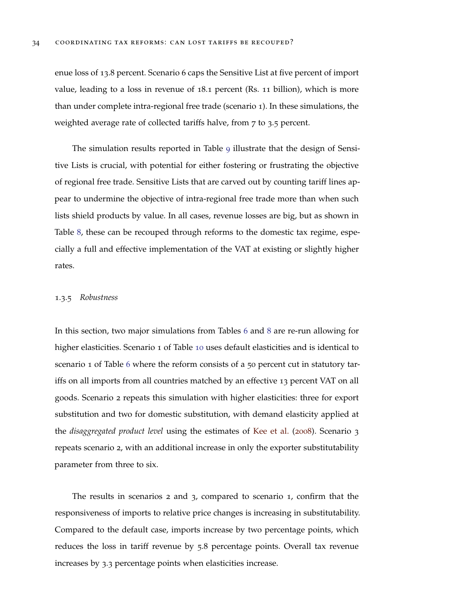enue loss of 13.8 percent. Scenario 6 caps the Sensitive List at five percent of import value, leading to a loss in revenue of 18.1 percent (Rs. 11 billion), which is more than under complete intra-regional free trade (scenario 1). In these simulations, the weighted average rate of collected tariffs halve, from 7 to 3.5 percent.

The simulation results reported in Table [9](#page-62-0) illustrate that the design of Sensitive Lists is crucial, with potential for either fostering or frustrating the objective of regional free trade. Sensitive Lists that are carved out by counting tariff lines appear to undermine the objective of intra-regional free trade more than when such lists shield products by value. In all cases, revenue losses are big, but as shown in Table [8](#page-61-0), these can be recouped through reforms to the domestic tax regime, especially a full and effective implementation of the VAT at existing or slightly higher rates.

## <span id="page-41-0"></span>1.3.5 *Robustness*

In this section, two major simulations from Tables [6](#page-59-0) and [8](#page-61-0) are re-run allowing for higher elasticities. Scenario 1 of Table [10](#page-63-0) uses default elasticities and is identical to scenario 1 of Table [6](#page-59-0) where the reform consists of a 50 percent cut in statutory tariffs on all imports from all countries matched by an effective 13 percent VAT on all goods. Scenario 2 repeats this simulation with higher elasticities: three for export substitution and two for domestic substitution, with demand elasticity applied at the *disaggregated product level* using the estimates of [Kee et al.](#page-50-17) ([2008](#page-50-17)). Scenario 3 repeats scenario 2, with an additional increase in only the exporter substitutability parameter from three to six.

The results in scenarios 2 and 3, compared to scenario 1, confirm that the responsiveness of imports to relative price changes is increasing in substitutability. Compared to the default case, imports increase by two percentage points, which reduces the loss in tariff revenue by 5.8 percentage points. Overall tax revenue increases by 3.3 percentage points when elasticities increase.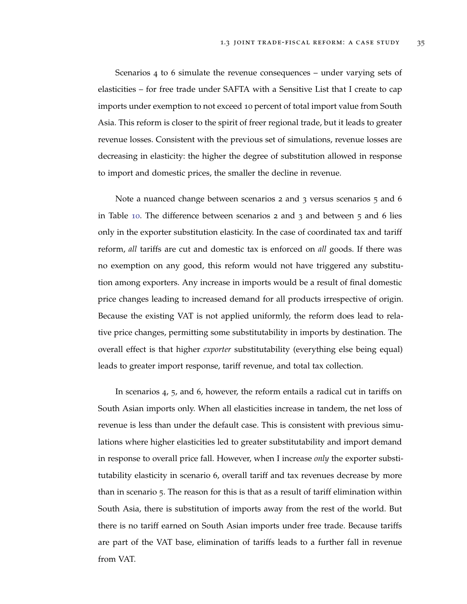Scenarios 4 to 6 simulate the revenue consequences – under varying sets of elasticities – for free trade under SAFTA with a Sensitive List that I create to cap imports under exemption to not exceed 10 percent of total import value from South Asia. This reform is closer to the spirit of freer regional trade, but it leads to greater revenue losses. Consistent with the previous set of simulations, revenue losses are decreasing in elasticity: the higher the degree of substitution allowed in response to import and domestic prices, the smaller the decline in revenue.

Note a nuanced change between scenarios 2 and 3 versus scenarios 5 and 6 in Table [10](#page-63-0). The difference between scenarios  $2$  and  $3$  and between  $5$  and  $6$  lies only in the exporter substitution elasticity. In the case of coordinated tax and tariff reform, *all* tariffs are cut and domestic tax is enforced on *all* goods. If there was no exemption on any good, this reform would not have triggered any substitution among exporters. Any increase in imports would be a result of final domestic price changes leading to increased demand for all products irrespective of origin. Because the existing VAT is not applied uniformly, the reform does lead to relative price changes, permitting some substitutability in imports by destination. The overall effect is that higher *exporter* substitutability (everything else being equal) leads to greater import response, tariff revenue, and total tax collection.

In scenarios 4, 5, and 6, however, the reform entails a radical cut in tariffs on South Asian imports only. When all elasticities increase in tandem, the net loss of revenue is less than under the default case. This is consistent with previous simulations where higher elasticities led to greater substitutability and import demand in response to overall price fall. However, when I increase *only* the exporter substitutability elasticity in scenario 6, overall tariff and tax revenues decrease by more than in scenario 5. The reason for this is that as a result of tariff elimination within South Asia, there is substitution of imports away from the rest of the world. But there is no tariff earned on South Asian imports under free trade. Because tariffs are part of the VAT base, elimination of tariffs leads to a further fall in revenue from VAT.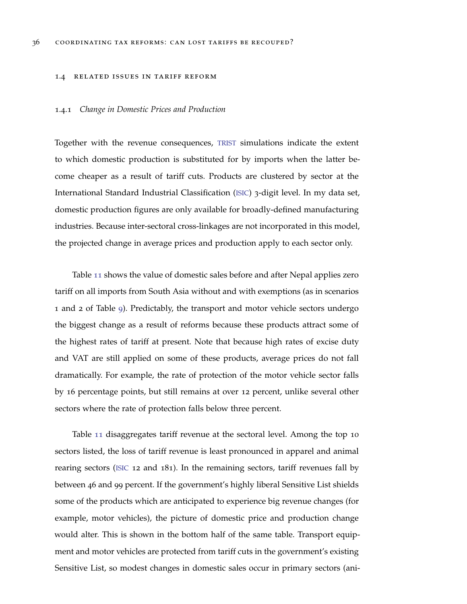#### <span id="page-43-0"></span>1.4 related issues in tariff reform

# <span id="page-43-1"></span>1.4.1 *Change in Domestic Prices and Production*

Together with the revenue consequences, [TRIST](#page-6-10) simulations indicate the extent to which domestic production is substituted for by imports when the latter become cheaper as a result of tariff cuts. Products are clustered by sector at the International Standard Industrial Classification ([ISIC](#page-6-18)) 3-digit level. In my data set, domestic production figures are only available for broadly-defined manufacturing industries. Because inter-sectoral cross-linkages are not incorporated in this model, the projected change in average prices and production apply to each sector only.

Table [11](#page-64-0) shows the value of domestic sales before and after Nepal applies zero tariff on all imports from South Asia without and with exemptions (as in scenarios 1 and 2 of Table [9](#page-62-0)). Predictably, the transport and motor vehicle sectors undergo the biggest change as a result of reforms because these products attract some of the highest rates of tariff at present. Note that because high rates of excise duty and VAT are still applied on some of these products, average prices do not fall dramatically. For example, the rate of protection of the motor vehicle sector falls by 16 percentage points, but still remains at over 12 percent, unlike several other sectors where the rate of protection falls below three percent.

Table [11](#page-64-0) disaggregates tariff revenue at the sectoral level. Among the top 10 sectors listed, the loss of tariff revenue is least pronounced in apparel and animal rearing sectors ([ISIC](#page-6-18) 12 and 181). In the remaining sectors, tariff revenues fall by between 46 and 99 percent. If the government's highly liberal Sensitive List shields some of the products which are anticipated to experience big revenue changes (for example, motor vehicles), the picture of domestic price and production change would alter. This is shown in the bottom half of the same table. Transport equipment and motor vehicles are protected from tariff cuts in the government's existing Sensitive List, so modest changes in domestic sales occur in primary sectors (ani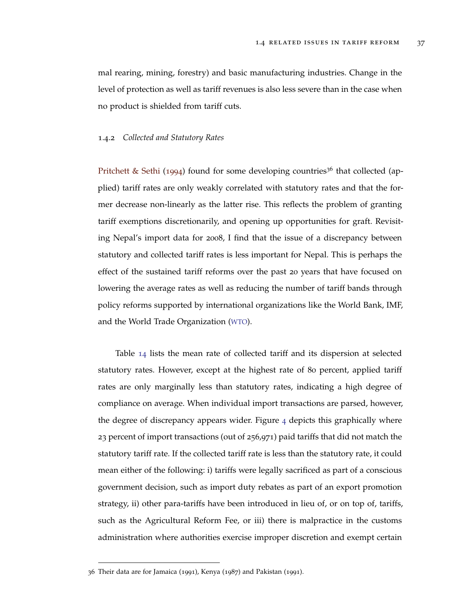mal rearing, mining, forestry) and basic manufacturing industries. Change in the level of protection as well as tariff revenues is also less severe than in the case when no product is shielded from tariff cuts.

# <span id="page-44-0"></span>1.4.2 *Collected and Statutory Rates*

[Pritchett & Sethi](#page-51-16) ([1994](#page-51-16)) found for some developing countries<sup>36</sup> that collected (applied) tariff rates are only weakly correlated with statutory rates and that the former decrease non-linearly as the latter rise. This reflects the problem of granting tariff exemptions discretionarily, and opening up opportunities for graft. Revisiting Nepal's import data for 2008, I find that the issue of a discrepancy between statutory and collected tariff rates is less important for Nepal. This is perhaps the effect of the sustained tariff reforms over the past 20 years that have focused on lowering the average rates as well as reducing the number of tariff bands through policy reforms supported by international organizations like the World Bank, IMF, and the World Trade Organization ([WTO](#page-6-19)).

Table [14](#page-65-0) lists the mean rate of collected tariff and its dispersion at selected statutory rates. However, except at the highest rate of 80 percent, applied tariff rates are only marginally less than statutory rates, indicating a high degree of compliance on average. When individual import transactions are parsed, however, the degree of discrepancy appears wider. Figure [4](#page-45-0) depicts this graphically where 23 percent of import transactions (out of 256,971) paid tariffs that did not match the statutory tariff rate. If the collected tariff rate is less than the statutory rate, it could mean either of the following: i) tariffs were legally sacrificed as part of a conscious government decision, such as import duty rebates as part of an export promotion strategy, ii) other para-tariffs have been introduced in lieu of, or on top of, tariffs, such as the Agricultural Reform Fee, or iii) there is malpractice in the customs administration where authorities exercise improper discretion and exempt certain

<sup>36</sup> Their data are for Jamaica (1991), Kenya (1987) and Pakistan (1991).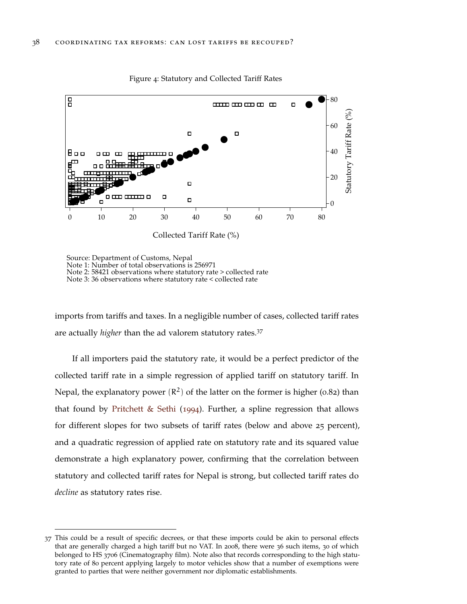<span id="page-45-0"></span>

Figure 4: Statutory and Collected Tariff Rates

Source: Department of Customs, Nepal Source: Department of Customs, Nepal<br>Note 1: Number of total observations is 256971 Note 2: 58421 observations where statutory rate > collected rate Note 3:36 observations where statutory rate < collected rate

imports from tariffs and taxes. In a negligible number of cases, collected tariff rates are actually *higher* than the ad valorem statutory rates.<sup>37</sup>

If all importers paid the statutory rate, it would be a perfect predictor of the collected tariff rate in a simple regression of applied tariff on statutory tariff. In Nepal, the explanatory power  $(R^2)$  of the latter on the former is higher (0.82) than that found by [Pritchett & Sethi](#page-51-16) ([1994](#page-51-16)). Further, a spline regression that allows for different slopes for two subsets of tariff rates (below and above 25 percent), and a quadratic regression of applied rate on statutory rate and its squared value demonstrate a high explanatory power, confirming that the correlation between statutory and collected tariff rates for Nepal is strong, but collected tariff rates do *decline* as statutory rates rise.

<sup>37</sup> This could be a result of specific decrees, or that these imports could be akin to personal effects that are generally charged a high tariff but no VAT. In 2008, there were 36 such items, 30 of which belonged to HS 3706 (Cinematography film). Note also that records corresponding to the high statutory rate of 80 percent applying largely to motor vehicles show that a number of exemptions were granted to parties that were neither government nor diplomatic establishments.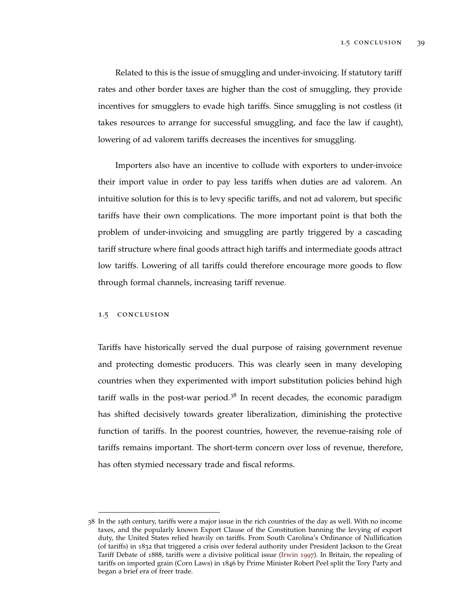Related to this is the issue of smuggling and under-invoicing. If statutory tariff rates and other border taxes are higher than the cost of smuggling, they provide incentives for smugglers to evade high tariffs. Since smuggling is not costless (it takes resources to arrange for successful smuggling, and face the law if caught), lowering of ad valorem tariffs decreases the incentives for smuggling.

Importers also have an incentive to collude with exporters to under-invoice their import value in order to pay less tariffs when duties are ad valorem. An intuitive solution for this is to levy specific tariffs, and not ad valorem, but specific tariffs have their own complications. The more important point is that both the problem of under-invoicing and smuggling are partly triggered by a cascading tariff structure where final goods attract high tariffs and intermediate goods attract low tariffs. Lowering of all tariffs could therefore encourage more goods to flow through formal channels, increasing tariff revenue.

# <span id="page-46-0"></span>1.5 conclusion

Tariffs have historically served the dual purpose of raising government revenue and protecting domestic producers. This was clearly seen in many developing countries when they experimented with import substitution policies behind high tariff walls in the post-war period.<sup>38</sup> In recent decades, the economic paradigm has shifted decisively towards greater liberalization, diminishing the protective function of tariffs. In the poorest countries, however, the revenue-raising role of tariffs remains important. The short-term concern over loss of revenue, therefore, has often stymied necessary trade and fiscal reforms.

<sup>38</sup> In the 19th century, tariffs were a major issue in the rich countries of the day as well. With no income taxes, and the popularly known Export Clause of the Constitution banning the levying of export duty, the United States relied heavily on tariffs. From South Carolina's Ordinance of Nullification (of tariffs) in 1832 that triggered a crisis over federal authority under President Jackson to the Great Tariff Debate of 1888, tariffs were a divisive political issue [\(Irwin](#page-50-18) [1997](#page-50-18)). In Britain, the repealing of tariffs on imported grain (Corn Laws) in 1846 by Prime Minister Robert Peel split the Tory Party and began a brief era of freer trade.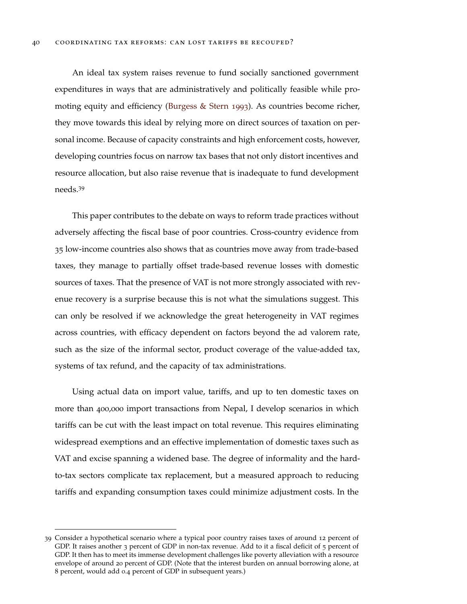An ideal tax system raises revenue to fund socially sanctioned government expenditures in ways that are administratively and politically feasible while promoting equity and efficiency [\(Burgess & Stern](#page-49-1) [1993](#page-49-1)). As countries become richer, they move towards this ideal by relying more on direct sources of taxation on personal income. Because of capacity constraints and high enforcement costs, however, developing countries focus on narrow tax bases that not only distort incentives and resource allocation, but also raise revenue that is inadequate to fund development needs.<sup>39</sup>

This paper contributes to the debate on ways to reform trade practices without adversely affecting the fiscal base of poor countries. Cross-country evidence from 35 low-income countries also shows that as countries move away from trade-based taxes, they manage to partially offset trade-based revenue losses with domestic sources of taxes. That the presence of VAT is not more strongly associated with revenue recovery is a surprise because this is not what the simulations suggest. This can only be resolved if we acknowledge the great heterogeneity in VAT regimes across countries, with efficacy dependent on factors beyond the ad valorem rate, such as the size of the informal sector, product coverage of the value-added tax, systems of tax refund, and the capacity of tax administrations.

Using actual data on import value, tariffs, and up to ten domestic taxes on more than 400,000 import transactions from Nepal, I develop scenarios in which tariffs can be cut with the least impact on total revenue. This requires eliminating widespread exemptions and an effective implementation of domestic taxes such as VAT and excise spanning a widened base. The degree of informality and the hardto-tax sectors complicate tax replacement, but a measured approach to reducing tariffs and expanding consumption taxes could minimize adjustment costs. In the

<sup>39</sup> Consider a hypothetical scenario where a typical poor country raises taxes of around 12 percent of GDP. It raises another 3 percent of GDP in non-tax revenue. Add to it a fiscal deficit of 5 percent of GDP. It then has to meet its immense development challenges like poverty alleviation with a resource envelope of around 20 percent of GDP. (Note that the interest burden on annual borrowing alone, at 8 percent, would add 0.4 percent of GDP in subsequent years.)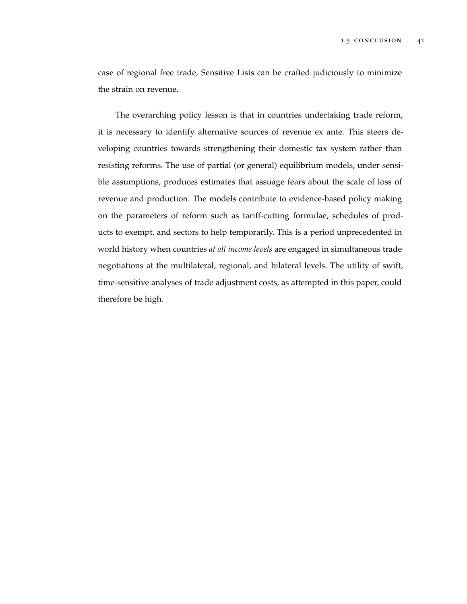case of regional free trade, Sensitive Lists can be crafted judiciously to minimize the strain on revenue.

The overarching policy lesson is that in countries undertaking trade reform, it is necessary to identify alternative sources of revenue ex ante. This steers developing countries towards strengthening their domestic tax system rather than resisting reforms. The use of partial (or general) equilibrium models, under sensible assumptions, produces estimates that assuage fears about the scale of loss of revenue and production. The models contribute to evidence-based policy making on the parameters of reform such as tariff-cutting formulae, schedules of products to exempt, and sectors to help temporarily. This is a period unprecedented in world history when countries *at all income levels* are engaged in simultaneous trade negotiations at the multilateral, regional, and bilateral levels. The utility of swift, time-sensitive analyses of trade adjustment costs, as attempted in this paper, could therefore be high.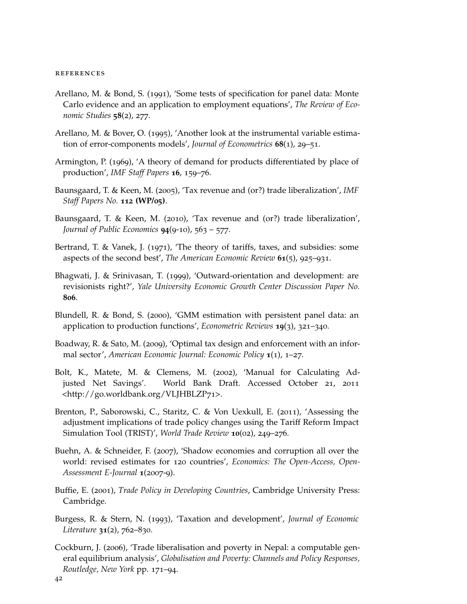#### **REFERENCES**

- <span id="page-49-6"></span>Arellano, M. & Bond, S. (1991), 'Some tests of specification for panel data: Monte Carlo evidence and an application to employment equations', *The Review of Economic Studies* **58**(2), 277.
- <span id="page-49-7"></span>Arellano, M. & Bover, O. (1995), 'Another look at the instrumental variable estimation of error-components models', *Journal of Econometrics* **68**(1), 29–51.
- <span id="page-49-13"></span>Armington, P. (1969), 'A theory of demand for products differentiated by place of production', *IMF Staff Papers* **16**, 159–76.
- <span id="page-49-4"></span>Baunsgaard, T. & Keen, M. (2005), 'Tax revenue and (or?) trade liberalization', *IMF Staff Papers No.* **112 (WP/05)**.
- <span id="page-49-3"></span>Baunsgaard, T. & Keen, M. (2010), 'Tax revenue and (or?) trade liberalization', *Journal of Public Economics* **94**(9-10), 563 – 577.
- <span id="page-49-11"></span>Bertrand, T. & Vanek, J. (1971), 'The theory of tariffs, taxes, and subsidies: some aspects of the second best', *The American Economic Review* **61**(5), 925–931.
- <span id="page-49-9"></span>Bhagwati, J. & Srinivasan, T. (1999), 'Outward-orientation and development: are revisionists right?', *Yale University Economic Growth Center Discussion Paper No.* **806**.
- <span id="page-49-8"></span>Blundell, R. & Bond, S. (2000), 'GMM estimation with persistent panel data: an application to production functions', *Econometric Reviews* **19**(3), 321–340.
- <span id="page-49-14"></span>Boadway, R. & Sato, M. (2009), 'Optimal tax design and enforcement with an informal sector', *American Economic Journal: Economic Policy* **1**(1), 1–27.
- <span id="page-49-5"></span>Bolt, K., Matete, M. & Clemens, M. (2002), 'Manual for Calculating Adjusted Net Savings'. World Bank Draft. Accessed October 21, 2011 <http://go.worldbank.org/VLJHBLZP71>.
- <span id="page-49-12"></span>Brenton, P., Saborowski, C., Staritz, C. & Von Uexkull, E. (2011), 'Assessing the adjustment implications of trade policy changes using the Tariff Reform Impact Simulation Tool (TRIST)', *World Trade Review* **10**(02), 249–276.
- <span id="page-49-2"></span>Buehn, A. & Schneider, F. (2007), 'Shadow economies and corruption all over the world: revised estimates for 120 countries', *Economics: The Open-Access, Open-Assessment E-Journal* **1**(2007-9).
- <span id="page-49-0"></span>Buffie, E. (2001), *Trade Policy in Developing Countries*, Cambridge University Press: Cambridge.
- <span id="page-49-1"></span>Burgess, R. & Stern, N. (1993), 'Taxation and development', *Journal of Economic Literature* **31**(2), 762–830.
- <span id="page-49-10"></span>Cockburn, J. (2006), 'Trade liberalisation and poverty in Nepal: a computable general equilibrium analysis', *Globalisation and Poverty: Channels and Policy Responses, Routledge, New York* pp. 171–94.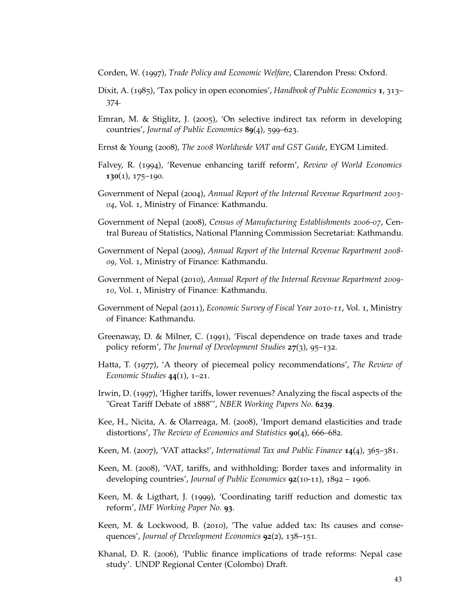<span id="page-50-2"></span>Corden, W. (1997), *Trade Policy and Economic Welfare*, Clarendon Press: Oxford.

- <span id="page-50-1"></span>Dixit, A. (1985), 'Tax policy in open economies', *Handbook of Public Economics* **1**, 313– 374.
- <span id="page-50-10"></span>Emran, M. & Stiglitz, J. (2005), 'On selective indirect tax reform in developing countries', *Journal of Public Economics* **89**(4), 599–623.
- <span id="page-50-4"></span>Ernst & Young (2008), *The 2008 Worldwide VAT and GST Guide*, EYGM Limited.
- <span id="page-50-8"></span>Falvey, R. (1994), 'Revenue enhancing tariff reform', *Review of World Economics* **130**(1), 175–190.
- <span id="page-50-13"></span>Government of Nepal (2004), *Annual Report of the Internal Revenue Repartment 2003- 04*, Vol. 1, Ministry of Finance: Kathmandu.
- <span id="page-50-12"></span>Government of Nepal (2008), *Census of Manufacturing Establishments 2006-07*, Central Bureau of Statistics, National Planning Commission Secretariat: Kathmandu.
- <span id="page-50-14"></span>Government of Nepal (2009), *Annual Report of the Internal Revenue Repartment 2008- 09*, Vol. 1, Ministry of Finance: Kathmandu.
- <span id="page-50-15"></span>Government of Nepal (2010), *Annual Report of the Internal Revenue Repartment 2009- 10*, Vol. 1, Ministry of Finance: Kathmandu.
- <span id="page-50-3"></span>Government of Nepal (2011), *Economic Survey of Fiscal Year 2010-11*, Vol. 1, Ministry of Finance: Kathmandu.
- <span id="page-50-0"></span>Greenaway, D. & Milner, C. (1991), 'Fiscal dependence on trade taxes and trade policy reform', *The Journal of Development Studies* **27**(3), 95–132.
- <span id="page-50-7"></span>Hatta, T. (1977), 'A theory of piecemeal policy recommendations', *The Review of Economic Studies* **44**(1), 1–21.
- <span id="page-50-18"></span>Irwin, D. (1997), 'Higher tariffs, lower revenues? Analyzing the fiscal aspects of the "Great Tariff Debate of 1888"', *NBER Working Papers No.* **6239**.
- <span id="page-50-17"></span>Kee, H., Nicita, A. & Olarreaga, M. (2008), 'Import demand elasticities and trade distortions', *The Review of Economics and Statistics* **90**(4), 666–682.
- <span id="page-50-11"></span>Keen, M. (2007), 'VAT attacks!', *International Tax and Public Finance* **14**(4), 365–381.
- <span id="page-50-16"></span>Keen, M. (2008), 'VAT, tariffs, and withholding: Border taxes and informality in developing countries', *Journal of Public Economics* **92**(10-11), 1892 – 1906.
- <span id="page-50-9"></span>Keen, M. & Ligthart, J. (1999), 'Coordinating tariff reduction and domestic tax reform', *IMF Working Paper No.* **93**.
- <span id="page-50-5"></span>Keen, M. & Lockwood, B. (2010), 'The value added tax: Its causes and consequences', *Journal of Development Economics* **92**(2), 138–151.
- <span id="page-50-6"></span>Khanal, D. R. (2006), 'Public finance implications of trade reforms: Nepal case study'. UNDP Regional Center (Colombo) Draft.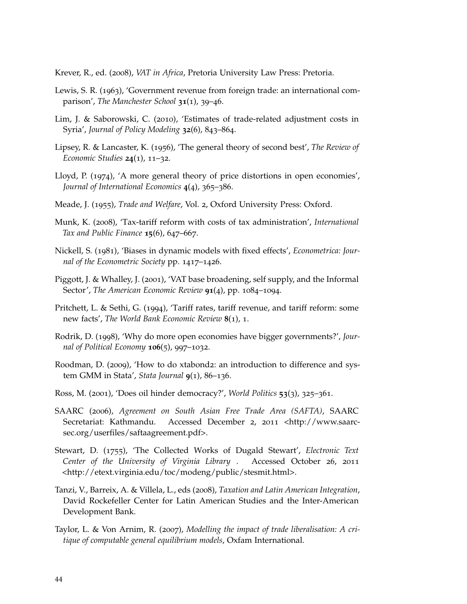<span id="page-51-4"></span>Krever, R., ed. (2008), *VAT in Africa*, Pretoria University Law Press: Pretoria.

- <span id="page-51-1"></span>Lewis, S. R. (1963), 'Government revenue from foreign trade: an international comparison', *The Manchester School* **31**(1), 39–46.
- <span id="page-51-12"></span>Lim, J. & Saborowski, C. (2010), 'Estimates of trade-related adjustment costs in Syria', *Journal of Policy Modeling* **32**(6), 843–864.
- <span id="page-51-9"></span>Lipsey, R. & Lancaster, K. (1956), 'The general theory of second best', *The Review of Economic Studies* **24**(1), 11–32.
- <span id="page-51-10"></span>Lloyd, P. (1974), 'A more general theory of price distortions in open economies', *Journal of International Economics* **4**(4), 365–386.
- <span id="page-51-8"></span>Meade, J. (1955), *Trade and Welfare*, Vol. 2, Oxford University Press: Oxford.
- <span id="page-51-11"></span>Munk, K. (2008), 'Tax-tariff reform with costs of tax administration', *International Tax and Public Finance* **15**(6), 647–667.
- <span id="page-51-5"></span>Nickell, S. (1981), 'Biases in dynamic models with fixed effects', *Econometrica: Journal of the Econometric Society* pp. 1417–1426.
- <span id="page-51-14"></span>Piggott, J. & Whalley, J. (2001), 'VAT base broadening, self supply, and the Informal Sector', *The American Economic Review* **91**(4), pp. 1084–1094.
- <span id="page-51-16"></span>Pritchett, L. & Sethi, G. (1994), 'Tariff rates, tariff revenue, and tariff reform: some new facts', *The World Bank Economic Review* **8**(1), 1.
- <span id="page-51-2"></span>Rodrik, D. (1998), 'Why do more open economies have bigger governments?', *Journal of Political Economy* **106**(5), 997–1032.
- <span id="page-51-6"></span>Roodman, D. (2009), 'How to do xtabond2: an introduction to difference and system GMM in Stata', *Stata Journal* **9**(1), 86–136.
- <span id="page-51-3"></span>Ross, M. (2001), 'Does oil hinder democracy?', *World Politics* **53**(3), 325–361.
- <span id="page-51-15"></span>SAARC (2006), *Agreement on South Asian Free Trade Area (SAFTA)*, SAARC Secretariat: Kathmandu. Accessed December 2, 2011 <http://www.saarcsec.org/userfiles/saftaagreement.pdf>.
- <span id="page-51-0"></span>Stewart, D. (1755), 'The Collected Works of Dugald Stewart', *Electronic Text Center of the University of Virginia Library* . Accessed October 26, 2011 <http://etext.virginia.edu/toc/modeng/public/stesmit.html>.
- <span id="page-51-7"></span>Tanzi, V., Barreix, A. & Villela, L., eds (2008), *Taxation and Latin American Integration*, David Rockefeller Center for Latin American Studies and the Inter-American Development Bank.
- <span id="page-51-13"></span>Taylor, L. & Von Arnim, R. (2007), *Modelling the impact of trade liberalisation: A critique of computable general equilibrium models*, Oxfam International.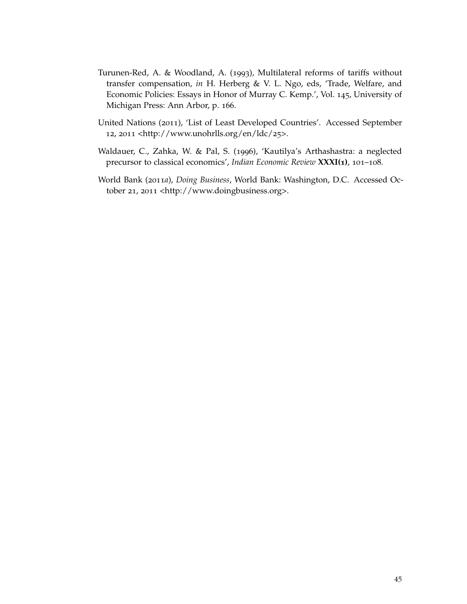- <span id="page-52-3"></span>Turunen-Red, A. & Woodland, A. (1993), Multilateral reforms of tariffs without transfer compensation, *in* H. Herberg & V. L. Ngo, eds, 'Trade, Welfare, and Economic Policies: Essays in Honor of Murray C. Kemp.', Vol. 145, University of Michigan Press: Ann Arbor, p. 166.
- <span id="page-52-1"></span>United Nations (2011), 'List of Least Developed Countries'. Accessed September 12, 2011 <http://www.unohrlls.org/en/ldc/25>.
- <span id="page-52-0"></span>Waldauer, C., Zahka, W. & Pal, S. (1996), 'Kautilya's Arthashastra: a neglected precursor to classical economics', *Indian Economic Review* **XXXI(1)**, 101–108.
- <span id="page-52-2"></span>World Bank (2011*a*), *Doing Business*, World Bank: Washington, D.C. Accessed October 21, 2011 <http://www.doingbusiness.org>.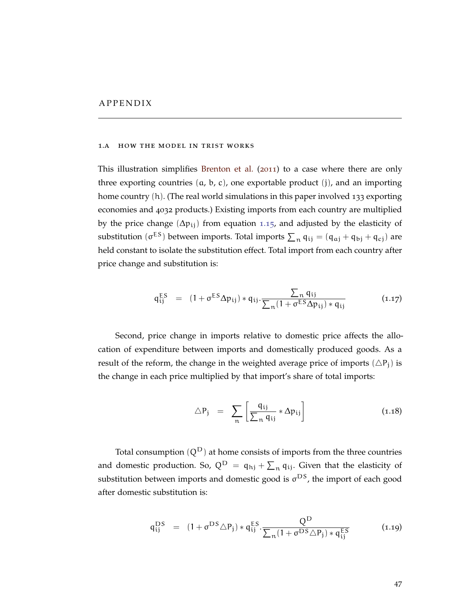#### <span id="page-54-1"></span><span id="page-54-0"></span>1.a how the model in trist works

This illustration simplifies [Brenton et al.](#page-49-12) ([2011](#page-49-12)) to a case where there are only three exporting countries  $(a, b, c)$ , one exportable product  $(j)$ , and an importing home country (h). (The real world simulations in this paper involved 133 exporting economies and 4032 products.) Existing imports from each country are multiplied by the price change ( $\Delta p_{ij}$ ) from equation 1.[15](#page-26-1), and adjusted by the elasticity of substitution  $(\sigma^{ES})$  between imports. Total imports  $\sum_n q_{ij} = (q_{aj} + q_{bj} + q_{cj})$  are held constant to isolate the substitution effect. Total import from each country after price change and substitution is:

$$
q_{ij}^{ES} = (1 + \sigma^{ES} \Delta p_{ij}) * q_{ij} \cdot \frac{\sum_{n} q_{ij}}{\sum_{n} (1 + \sigma^{ES} \Delta p_{ij}) * q_{ij}}
$$
(1.17)

Second, price change in imports relative to domestic price affects the allocation of expenditure between imports and domestically produced goods. As a result of the reform, the change in the weighted average price of imports  $(\triangle P_i)$  is the change in each price multiplied by that import's share of total imports:

$$
\triangle P_j = \sum_{n} \left[ \frac{q_{ij}}{\sum_{n} q_{ij}} * \Delta p_{ij} \right]
$$
 (1.18)

Total consumption  $(Q^D)$  at home consists of imports from the three countries and domestic production. So,  $Q^D = q_{hj} + \sum_n q_{ij}$ . Given that the elasticity of substitution between imports and domestic good is  $\sigma^{DS}$ , the import of each good after domestic substitution is:

$$
q_{ij}^{DS} = (1 + \sigma^{DS} \triangle P_j) * q_{ij}^{ES} \cdot \frac{Q^D}{\sum_{n} (1 + \sigma^{DS} \triangle P_j) * q_{ij}^{ES}}
$$
(1.19)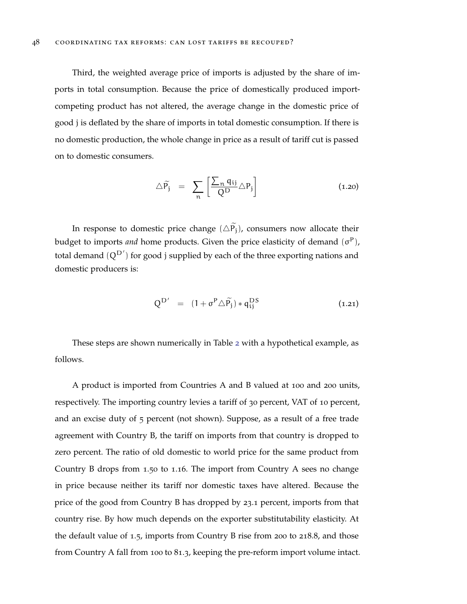Third, the weighted average price of imports is adjusted by the share of imports in total consumption. Because the price of domestically produced importcompeting product has not altered, the average change in the domestic price of good j is deflated by the share of imports in total domestic consumption. If there is no domestic production, the whole change in price as a result of tariff cut is passed on to domestic consumers.

$$
\triangle \widetilde{P_j} = \sum_{n} \left[ \frac{\sum_{n} q_{ij}}{Q^D} \triangle P_j \right] \tag{1.20}
$$

In response to domestic price change  $(\triangle P_j)$ , consumers now allocate their budget to imports *and* home products. Given the price elasticity of demand (σ<sup>P</sup>), total demand  $(Q^{D'})$  for good j supplied by each of the three exporting nations and domestic producers is:

$$
Q^{D'} = (1 + \sigma^P \triangle \widetilde{P}_j) * q_{ij}^{DS}
$$
 (1.21)

These steps are shown numerically in Table [2](#page-57-0) with a hypothetical example, as follows.

A product is imported from Countries A and B valued at 100 and 200 units, respectively. The importing country levies a tariff of 30 percent, VAT of 10 percent, and an excise duty of 5 percent (not shown). Suppose, as a result of a free trade agreement with Country B, the tariff on imports from that country is dropped to zero percent. The ratio of old domestic to world price for the same product from Country B drops from 1.50 to 1.16. The import from Country A sees no change in price because neither its tariff nor domestic taxes have altered. Because the price of the good from Country B has dropped by 23.1 percent, imports from that country rise. By how much depends on the exporter substitutability elasticity. At the default value of 1.5, imports from Country B rise from 200 to 218.8, and those from Country A fall from 100 to 81.3, keeping the pre-reform import volume intact.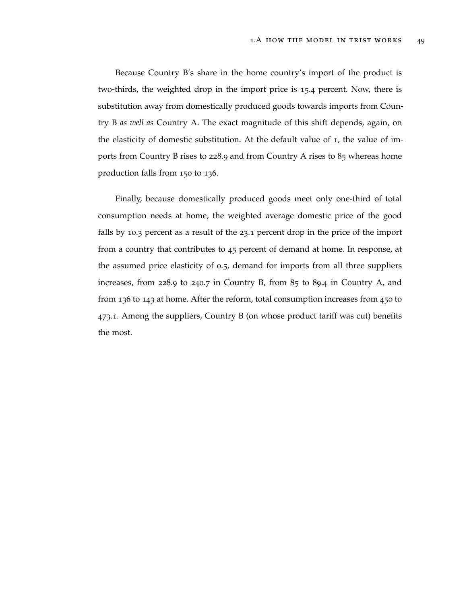Because Country B's share in the home country's import of the product is two-thirds, the weighted drop in the import price is 15.4 percent. Now, there is substitution away from domestically produced goods towards imports from Country B *as well as* Country A. The exact magnitude of this shift depends, again, on the elasticity of domestic substitution. At the default value of 1, the value of imports from Country B rises to 228.9 and from Country A rises to 85 whereas home production falls from 150 to 136.

Finally, because domestically produced goods meet only one-third of total consumption needs at home, the weighted average domestic price of the good falls by 10.3 percent as a result of the 23.1 percent drop in the price of the import from a country that contributes to 45 percent of demand at home. In response, at the assumed price elasticity of 0.5, demand for imports from all three suppliers increases, from 228.9 to 240.7 in Country B, from 85 to 89.4 in Country A, and from 136 to 143 at home. After the reform, total consumption increases from 450 to 473.1. Among the suppliers, Country B (on whose product tariff was cut) benefits the most.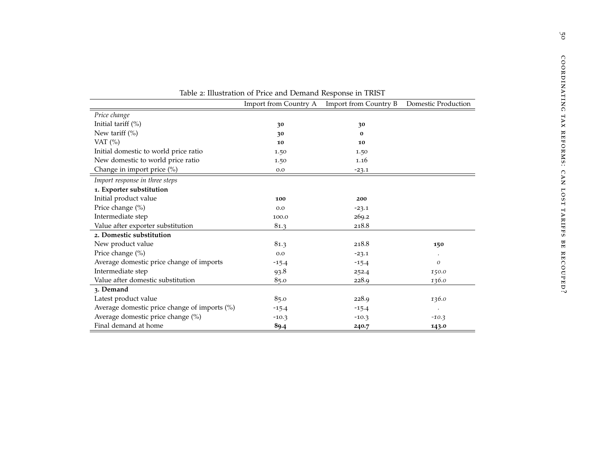|                                              | Table 2. Inustration of Frite and Demand Response in FRIST |                                             |                     |
|----------------------------------------------|------------------------------------------------------------|---------------------------------------------|---------------------|
|                                              |                                                            | Import from Country A Import from Country B | Domestic Production |
| Price change                                 |                                                            |                                             |                     |
| Initial tariff $(\%)$                        | 30                                                         | 30                                          |                     |
| New tariff $(\%)$                            | 30                                                         | $\bf{0}$                                    |                     |
| VAT $(%)$                                    | 10                                                         | 10                                          |                     |
| Initial domestic to world price ratio        | 1.50                                                       | 1.50                                        |                     |
| New domestic to world price ratio            | 1.50                                                       | 1.16                                        |                     |
| Change in import price (%)                   | 0.0                                                        | $-23.1$                                     |                     |
| Import response in three steps               |                                                            |                                             |                     |
| 1. Exporter substitution                     |                                                            |                                             |                     |
| Initial product value                        | 100                                                        | 200                                         |                     |
| Price change (%)                             | 0.0                                                        | $-23.1$                                     |                     |
| Intermediate step                            | 100.0                                                      | 269.2                                       |                     |
| Value after exporter substitution            | 81.3                                                       | 218.8                                       |                     |
| 2. Domestic substitution                     |                                                            |                                             |                     |
| New product value                            | 81.3                                                       | 218.8                                       | 150                 |
| Price change (%)                             | 0.0                                                        | $-23.1$                                     |                     |
| Average domestic price change of imports     | $-15.4$                                                    | $-15.4$                                     | 0                   |
| Intermediate step                            | 93.8                                                       | 252.4                                       | 150.0               |
| Value after domestic substitution            | 85.0                                                       | 228.9                                       | 136.0               |
| 3. Demand                                    |                                                            |                                             |                     |
| Latest product value                         | 85.0                                                       | 228.9                                       | 136.0               |
| Average domestic price change of imports (%) | $-15.4$                                                    | $-15.4$                                     | $\cdot$             |
| Average domestic price change (%)            | $-10.3$                                                    | $-10.3$                                     | $-10.3$             |
| Final demand at home                         | 89.4                                                       | 240.7                                       | 143.0               |

<span id="page-57-0"></span>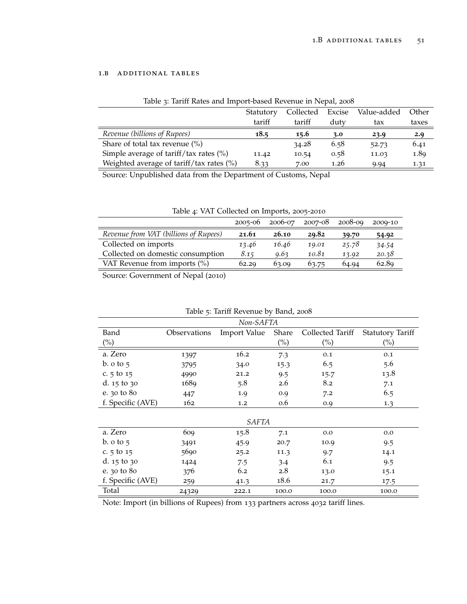# <span id="page-58-1"></span><span id="page-58-0"></span>1.b additional tables

|                                                          | Statutory | Collected | Excise | Value-added | Other |
|----------------------------------------------------------|-----------|-----------|--------|-------------|-------|
|                                                          | tariff    | tariff    | duty   | tax         | taxes |
| Revenue (billions of Rupees)                             | 18.5      | 15.6      | 3.0    | 23.9        | 2.9   |
| Share of total tax revenue $(\% )$                       |           | 34.28     | 6.58   | 52.73       | 6.41  |
| Simple average of $\text{tariff}/\text{tax rates}$ (%)   | 11.42     | 10.54     | 0.58   | 11.03       | 1.89  |
| Weighted average of $\text{tariff}/\text{tax rates}$ (%) | 8.33      | 7.00      | 1.26   | 9.94        | 1.31  |

# Table 3: Tariff Rates and Import-based Revenue in Nepal, 2008

Source: Unpublished data from the Department of Customs, Nepal

<span id="page-58-2"></span>

| Table 4: VAT Collected on Imports, 2005-2010                |       |       |       |       |       |  |  |
|-------------------------------------------------------------|-------|-------|-------|-------|-------|--|--|
| 2006-07<br>$2008 - 09$<br>2007-08<br>$2005 - 06$<br>2009-10 |       |       |       |       |       |  |  |
| Revenue from VAT (billions of Rupees)                       | 21.61 | 26.10 | 29.82 | 39.70 | 54.92 |  |  |
| Collected on imports                                        | 13.46 | 16.46 | 19.01 | 25.78 | 34.54 |  |  |
| Collected on domestic consumption                           | 8.15  | 9.63  | 10.81 | 13.92 | 20.38 |  |  |
| VAT Revenue from imports (%)                                | 62.29 | 63.09 | 63.75 | 64.94 | 62.89 |  |  |

<span id="page-58-3"></span>Source: Government of Nepal (2010)

|                             | Non-SAFTA    |                     |        |                  |                         |  |  |  |
|-----------------------------|--------------|---------------------|--------|------------------|-------------------------|--|--|--|
| Band                        | Observations | <b>Import Value</b> | Share  | Collected Tariff | <b>Statutory Tariff</b> |  |  |  |
| $\binom{0}{0}$              |              |                     | $(\%)$ | $(\%)$           | $\left(\%\right)$       |  |  |  |
| a. Zero                     | 1397         | 16.2                | 7.3    | 0.1              | 0.1                     |  |  |  |
| b. $\circ$ to $\frac{1}{2}$ | 3795         | 34.0                | 15.3   | 6.5              | 5.6                     |  |  |  |
| c. $5 \text{ to } 15$       | 4990         | 21.2                | 9.5    | 15.7             | 13.8                    |  |  |  |
| d. $15 \text{ to } 30$      | 1689         | 5.8                 | 2.6    | 8.2              | 7.1                     |  |  |  |
| e. 30 to 80                 | 447          | 1.9                 | 0.9    | 7.2              | 6.5                     |  |  |  |
| f. Specific (AVE)           | 162          | 1.2                 | 0.6    | 0.9              | 1.3                     |  |  |  |
|                             |              |                     |        |                  |                         |  |  |  |
|                             |              | <i>SAFTA</i>        |        |                  |                         |  |  |  |
| a. Zero                     | 609          | 15.8                | 7.1    | 0.0              | 0.0                     |  |  |  |
| b. $\circ$ to $\frac{1}{2}$ | 3491         | 45.9                | 20.7   | 10.9             | 9.5                     |  |  |  |
| c. $5$ to $15$              | 5690         | 25.2                | 11.3   | 9.7              | 14.1                    |  |  |  |
| d. $15 \text{ to } 30$      | 1424         | 7.5                 | $3-4$  | 6.1              | 9.5                     |  |  |  |
| e. 30 to 80                 | 376          | 6.2                 | 2.8    | 13.0             | 15.1                    |  |  |  |
| f. Specific (AVE)           | 259          | 41.3                | 18.6   | 21.7             | 17.5                    |  |  |  |
| Total                       | 24329        | 222.1               | 100.0  | 100.0            | 100.0                   |  |  |  |

|  | Table 5: Tariff Revenue by Band, 2008 |  |  |
|--|---------------------------------------|--|--|
|  |                                       |  |  |

Note: Import (in billions of Rupees) from 133 partners across 4032 tariff lines.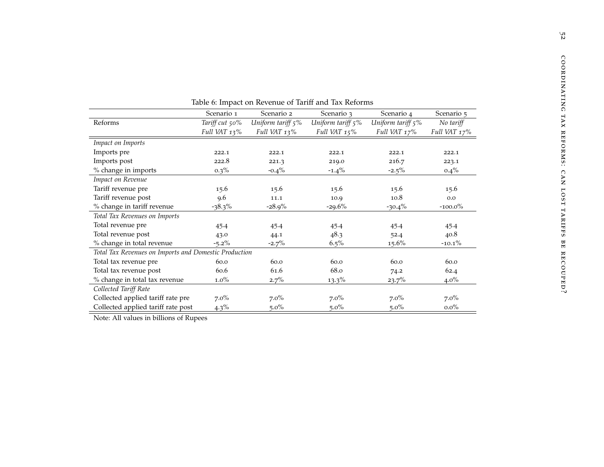<span id="page-59-0"></span>

| Table 0. Impact on Kevenue of Tarin and Tax Kelomis   |                |                   |                      |                   |              |  |  |
|-------------------------------------------------------|----------------|-------------------|----------------------|-------------------|--------------|--|--|
|                                                       | Scenario 1     | Scenario 2        | Scenario 3           | Scenario 4        | Scenario 5   |  |  |
| Reforms                                               | Tariff cut 50% | Uniform tariff 5% | Uniform tariff $5\%$ | Uniform tariff 5% | No tariff    |  |  |
|                                                       | Full VAT 13%   | Full VAT 13%      | Full VAT 15%         | Full VAT 17%      | Full VAT 17% |  |  |
| Impact on Imports                                     |                |                   |                      |                   |              |  |  |
| Imports pre                                           | 222.1          | 222.1             | 222.1                | 222.1             | 222.1        |  |  |
| Imports post                                          | 222.8          | 221.3             | 219.0                | 216.7             | 223.1        |  |  |
| % change in imports                                   | $0.3\%$        | $-0.4\%$          | $-1.4\%$             | $-2.5\%$          | $0.4\%$      |  |  |
| Impact on Revenue                                     |                |                   |                      |                   |              |  |  |
| Tariff revenue pre                                    | 15.6           | 15.6              | 15.6                 | 15.6              | 15.6         |  |  |
| Tariff revenue post                                   | 9.6            | 11.1              | 10.9                 | 10.8              | 0.0          |  |  |
| % change in tariff revenue                            | $-38.3\%$      | $-28.9%$          | $-29.6%$             | $-30.4\%$         | $-100.0\%$   |  |  |
| Total Tax Revenues on Imports                         |                |                   |                      |                   |              |  |  |
| Total revenue pre                                     | 45.4           | 45.4              | 45.4                 | 45.4              | 45.4         |  |  |
| Total revenue post                                    | 43.0           | 44.1              | 48.3                 | 52.4              | 40.8         |  |  |
| % change in total revenue                             | $-5.2\%$       | $-2.7\%$          | $6.5\%$              | $15.6\%$          | $-10.1\%$    |  |  |
| Total Tax Revenues on Imports and Domestic Production |                |                   |                      |                   |              |  |  |
| Total tax revenue pre                                 | 60.0           | 60.0              | 60.0                 | 60.0              | 60.0         |  |  |
| Total tax revenue post                                | 60.6           | 61.6              | 68.0                 | 74.2              | 62.4         |  |  |
| % change in total tax revenue                         | $1.0\%$        | $2.7\%$           | $13.3\%$             | 23.7%             | $4.0\%$      |  |  |
| Collected Tariff Rate                                 |                |                   |                      |                   |              |  |  |
| Collected applied tariff rate pre                     | $7.0\%$        | $7.0\%$           | $7.0\%$              | $7.0\%$           | $7.0\%$      |  |  |
| Collected applied tariff rate post                    | $4.3\%$        | $5.0\%$           | $5.0\%$              | $5.0\%$           | $0.0\%$      |  |  |
|                                                       |                |                   |                      |                   |              |  |  |

Table <sup>6</sup>: Impact on Revenue of Tariff and Tax Reforms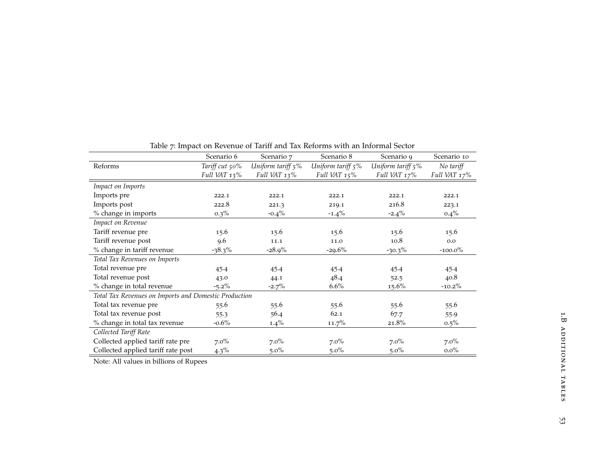<span id="page-60-0"></span>

|                                                       | Scenario 6     | Scenario 7        | Scenario 8        | Scenario 9        | Scenario 10  |
|-------------------------------------------------------|----------------|-------------------|-------------------|-------------------|--------------|
| Reforms                                               | Tariff cut 50% | Uniform tariff 5% | Uniform tariff 5% | Uniform tariff 5% | No tariff    |
|                                                       | Full VAT 13%   | Full VAT 13%      | Full VAT 15%      | Full VAT 17%      | Full VAT 17% |
| Impact on Imports                                     |                |                   |                   |                   |              |
| Imports pre                                           | 222.1          | 222.1             | 222.1             | 222.1             | 222.1        |
| Imports post                                          | 222.8          | 221.3             | 219.1             | 216.8             | 223.1        |
| % change in imports                                   | $0.3\%$        | $-0.4\%$          | $-1.4\%$          | $-2.4\%$          | $0.4\%$      |
| Impact on Revenue                                     |                |                   |                   |                   |              |
| Tariff revenue pre                                    | 15.6           | 15.6              | 15.6              | 15.6              | 15.6         |
| Tariff revenue post                                   | 9.6            | 11.1              | 11.0              | 10.8              | 0.0          |
| % change in tariff revenue                            | $-38.3\%$      | $-28.9%$          | $-29.6%$          | $-30.3\%$         | $-100.0\%$   |
| Total Tax Revenues on Imports                         |                |                   |                   |                   |              |
| Total revenue pre                                     | 45.4           | 45.4              | 45.4              | 45.4              | 45.4         |
| Total revenue post                                    | 43.0           | 44.1              | 48.4              | 52.5              | 40.8         |
| % change in total revenue                             | $-5.2\%$       | $-2.7%$           | 6.6%              | $15.6\%$          | $-10.2\%$    |
| Total Tax Revenues on Imports and Domestic Production |                |                   |                   |                   |              |
| Total tax revenue pre                                 | 55.6           | 55.6              | 55.6              | 55.6              | 55.6         |
| Total tax revenue post                                | 55.3           | 56.4              | 62.1              | 67.7              | 55.9         |
| % change in total tax revenue                         | $-0.6\%$       | $1.4\%$           | $11.7\%$          | 21.8%             | $0.5\%$      |
| Collected Tariff Rate                                 |                |                   |                   |                   |              |
| Collected applied tariff rate pre                     | $7.0\%$        | $7.0\%$           | $7.0\%$           | $7.0\%$           | $7.0\%$      |
| Collected applied tariff rate post                    | $4.3\%$        | $5.0\%$           | $5.0\%$           | $5.0\%$           | $0.0\%$      |

Table <sup>7</sup>: Impact on Revenue of Tariff and Tax Reforms with an Informal Sector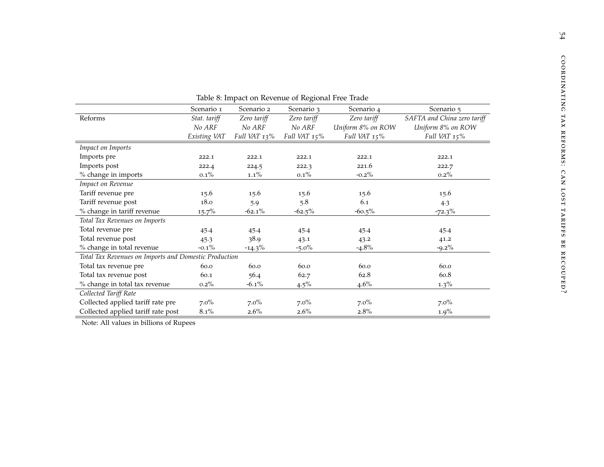<span id="page-61-0"></span>

|                                                       | Scenario 1   | Scenario 2   | Ō<br>Scenario 3             | Scenario 4   | Scenario 5                  |
|-------------------------------------------------------|--------------|--------------|-----------------------------|--------------|-----------------------------|
| Reforms                                               | Stat. tariff | Zero tariff  | Zero tariff                 | Zero tariff  | SAFTA and China zero tariff |
|                                                       | No ARF       | No ARF       | No ARF<br>Uniform 8% on ROW |              | Uniform 8% on ROW           |
|                                                       | Existing VAT | Full VAT 13% | Full VAT 15%                | Full VAT 15% | Full VAT 15%                |
| Impact on Imports                                     |              |              |                             |              |                             |
| Imports pre                                           | 222.1        | 222.1        | 222.1                       | 222.1        | 222.1                       |
| Imports post                                          | 222.4        | 224.5        | 222.3                       | 221.6        | 222.7                       |
| % change in imports                                   | $0.1\%$      | $1.1\%$      | $0.1\%$                     | $-0.2\%$     | $0.2\%$                     |
| Impact on Revenue                                     |              |              |                             |              |                             |
| Tariff revenue pre                                    | 15.6         | 15.6         | 15.6                        | 15.6         | 15.6                        |
| Tariff revenue post                                   | 18.0         | 5.9          | 5.8                         | 6.1          | 4.3                         |
| % change in tariff revenue                            | $15.7\%$     | $-62.1\%$    | $-62.5%$                    | $-60.5\%$    | $-72.3\%$                   |
| Total Tax Revenues on Imports                         |              |              |                             |              |                             |
| Total revenue pre                                     | 45.4         | 45.4         | 45.4                        | 45.4         | 45.4                        |
| Total revenue post                                    | 45.3         | 38.9         | 43.1                        | 43.2         | 41.2                        |
| % change in total revenue                             | $-0.1\%$     | $-14.3\%$    | $-5.0\%$                    | $-4.8\%$     | $-9.2\%$                    |
| Total Tax Revenues on Imports and Domestic Production |              |              |                             |              |                             |
| Total tax revenue pre                                 | 60.0         | 60.0         | 60.0                        | 60.0         | 60.0                        |
| Total tax revenue post                                | 60.1         | 56.4         | 62.7                        | 62.8         | 60.8                        |
| % change in total tax revenue                         | $0.2\%$      | $-6.1\%$     | $4.5\%$                     | $4.6\%$      | $1.3\%$                     |
| Collected Tariff Rate                                 |              |              |                             |              |                             |
| Collected applied tariff rate pre                     | $7.0\%$      | $7.0\%$      | $7.0\%$                     | $7.0\%$      | $7.0\%$                     |
| Collected applied tariff rate post                    | $8.1\%$      | $2.6\%$      | $2.6\%$                     | $2.8\%$      | $1.9\%$                     |

Table <sup>8</sup>: Impact on Revenue of Regional Free Trade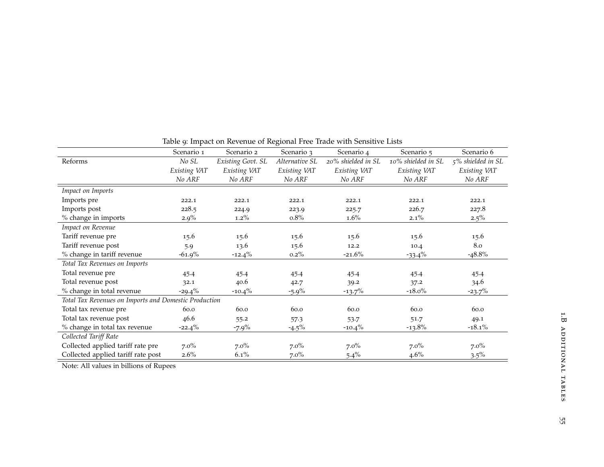|                                                       | Scenario 1   | Scenario 2        | Scenario 3     | Scenario 4         | Scenario 5         | Scenario 6        |
|-------------------------------------------------------|--------------|-------------------|----------------|--------------------|--------------------|-------------------|
|                                                       |              |                   |                |                    |                    |                   |
| Reforms                                               | No SL        | Existing Govt. SL | Alternative SL | 20% shielded in SL | 10% shielded in SL | 5% shielded in SL |
|                                                       | Existing VAT | Existing VAT      | Existing VAT   | Existing VAT       | Existing VAT       | Existing VAT      |
|                                                       | No ARF       | No ARF            | No ARF         | No ARF             | No ARF             | No ARF            |
| Impact on Imports                                     |              |                   |                |                    |                    |                   |
| Imports pre                                           | 222.1        | 222.1             | 222.1          | 222.1              | 222.1              | 222.1             |
| Imports post                                          | 228.5        | 224.9             | 223.9          | 225.7              | 226.7              | 227.8             |
| % change in imports                                   | $2.9\%$      | $1.2\%$           | $0.8\%$        | $1.6\%$            | $2.1\%$            | $2.5\%$           |
| Impact on Revenue                                     |              |                   |                |                    |                    |                   |
| Tariff revenue pre                                    | 15.6         | 15.6              | 15.6           | 15.6               | 15.6               | 15.6              |
| Tariff revenue post                                   | 5.9          | 13.6              | 15.6           | 12.2               | 10.4               | 8.0               |
| % change in tariff revenue                            | $-61.9\%$    | $-12.4\%$         | $0.2\%$        | $-21.6%$           | $-33.4\%$          | $-48.8\%$         |
| Total Tax Revenues on Imports                         |              |                   |                |                    |                    |                   |
| Total revenue pre                                     | 45.4         | 45.4              | 45.4           | 45.4               | 45.4               | 45.4              |
| Total revenue post                                    | 32.1         | 40.6              | 42.7           | 39.2               | 37.2               | 34.6              |
| % change in total revenue                             | $-29.4\%$    | $-10.4\%$         | $-5.9\%$       | $-13.7%$           | $-18.0\%$          | $-23.7%$          |
| Total Tax Revenues on Imports and Domestic Production |              |                   |                |                    |                    |                   |
| Total tax revenue pre                                 | 60.0         | 60.0              | 60.0           | 60.0               | 60.0               | 60.0              |
| Total tax revenue post                                | 46.6         | 55.2              | 57.3           | 53.7               | 51.7               | 49.1              |
| % change in total tax revenue                         | $-22.4\%$    | $-7.9\%$          | $-4.5\%$       | $-10.4\%$          | $-13.8\%$          | $-18.1\%$         |
| Collected Tariff Rate                                 |              |                   |                |                    |                    |                   |
| Collected applied tariff rate pre                     | $7.0\%$      | $7.0\%$           | $7.0\%$        | $7.0\%$            | $7.0\%$            | $7.0\%$           |
| Collected applied tariff rate post                    | $2.6\%$      | $6.1\%$           | $7.0\%$        | $5.4\%$            | $4.6\%$            | $3.5\%$           |
|                                                       |              |                   |                |                    |                    |                   |

# <span id="page-62-0"></span>Table <sup>9</sup>: Impact on Revenue of Regional Free Trade with Sensitive Lists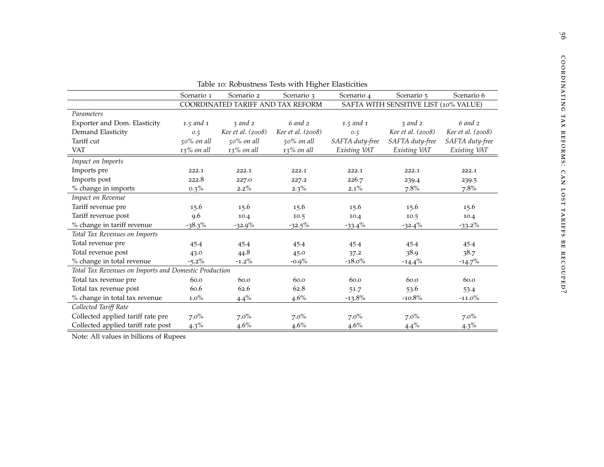<span id="page-63-0"></span>

| Table 10: Robustness Tests with Higher Elasticities   |               |                                   |                   |                                       |                   |                   |  |  |  |
|-------------------------------------------------------|---------------|-----------------------------------|-------------------|---------------------------------------|-------------------|-------------------|--|--|--|
|                                                       | Scenario 1    | Scenario 2                        | Scenario 3        | Scenario 4                            | Scenario 5        | Scenario 6        |  |  |  |
|                                                       |               | COORDINATED TARIFF AND TAX REFORM |                   | SAFTA WITH SENSITIVE LIST (10% VALUE) |                   |                   |  |  |  |
| Parameters                                            |               |                                   |                   |                                       |                   |                   |  |  |  |
| Exporter and Dom. Elasticity                          | 1.5 and 1     | $\frac{3}{2}$ and $\frac{2}{2}$   | $6$ and $2$       | 1.5 and 1                             | 3 and 2           | $6$ and $2$       |  |  |  |
| Demand Elasticity                                     | 0.5           | Kee et al. (2008)                 | Kee et al. (2008) | 0.5                                   | Kee et al. (2008) | Kee et al. (2008) |  |  |  |
| Tariff cut                                            | $50\%$ on all | $50\%$ on all                     | $50\%$ on all     | SAFTA duty-free                       | SAFTA duty-free   | SAFTA duty-free   |  |  |  |
| <b>VAT</b>                                            | 13% on all    | $13\%$ on all                     | $13\%$ on all     | Existing VAT                          | Existing VAT      | Existing VAT      |  |  |  |
| Impact on Imports                                     |               |                                   |                   |                                       |                   |                   |  |  |  |
| Imports pre                                           | 222.1         | 222.1                             | 222.1             | 222.1                                 | 222.1             | 222.1             |  |  |  |
| Imports post                                          | 222.8         | 227.0                             | 227.2             | 226.7                                 | 239.4             | 239.5             |  |  |  |
| % change in imports                                   | $0.3\%$       | $2.2\%$                           | $2.3\%$           | $2.1\%$                               | 7.8%              | 7.8%              |  |  |  |
| Impact on Revenue                                     |               |                                   |                   |                                       |                   |                   |  |  |  |
| Tariff revenue pre                                    | 15.6          | 15.6                              | 15.6              | 15.6                                  | 15.6              | 15.6              |  |  |  |
| Tariff revenue post                                   | 9.6           | 10.4                              | 10.5              | 10.4                                  | 10.5              | 10.4              |  |  |  |
| % change in tariff revenue                            | $-38.3\%$     | $-32.9%$                          | $-32.5%$          | $-33.4\%$                             | $-32.4\%$         | $-33.2\%$         |  |  |  |
| Total Tax Revenues on Imports                         |               |                                   |                   |                                       |                   |                   |  |  |  |
| Total revenue pre                                     | 45.4          | 45.4                              | 45.4              | 45.4                                  | 45.4              | 45.4              |  |  |  |
| Total revenue post                                    | 43.0          | 44.8                              | 45.0              | 37.2                                  | 38.9              | 38.7              |  |  |  |
| % change in total revenue                             | $-5.2\%$      | $-1.2\%$                          | $-0.9%$           | $-18.0\%$                             | $-14.4\%$         | $-14.7%$          |  |  |  |
| Total Tax Revenues on Imports and Domestic Production |               |                                   |                   |                                       |                   |                   |  |  |  |
| Total tax revenue pre                                 | 60.0          | 60.0                              | 60.0              | 60.0                                  | 60.0              | 60.0              |  |  |  |
| Total tax revenue post                                | 60.6          | 62.6                              | 62.8              | 51.7                                  | 53.6              | 53.4              |  |  |  |
| % change in total tax revenue                         | $1.0\%$       | $4.4\%$                           | $4.6\%$           | $-13.8%$                              | $-10.8%$          | $-11.0\%$         |  |  |  |
| Collected Tariff Rate                                 |               |                                   |                   |                                       |                   |                   |  |  |  |
| Collected applied tariff rate pre                     | $7.0\%$       | $7.0\%$                           | $7.0\%$           | $7.0\%$                               | $7.0\%$           | $7.0\%$           |  |  |  |
| Collected applied tariff rate post                    | $4.3\%$       | $4.6\%$                           | 4.6%              | $4.6\%$                               | $4.4\%$           | $4.3\%$           |  |  |  |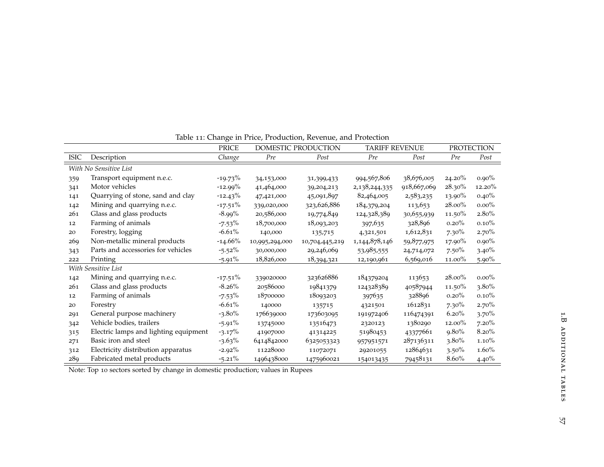|             |                                       | Ō<br><b>PRICE</b> |                | DOMESTIC PRODUCTION | <b>TARIFF REVENUE</b> |             | <b>PROTECTION</b> |          |
|-------------|---------------------------------------|-------------------|----------------|---------------------|-----------------------|-------------|-------------------|----------|
| <b>ISIC</b> | Description                           | Change            | Pre            | Post                | Pre                   | Post        | Pre               | Post     |
|             | With No Sensitive List                |                   |                |                     |                       |             |                   |          |
| 359         | Transport equipment n.e.c.            | $-19.73\%$        | 34,153,000     | 31,399,433          | 994,567,806           | 38,676,005  | $24.20\%$         | $0.90\%$ |
| 341         | Motor vehicles                        | $-12.99%$         | 41,464,000     | 39,204,213          | 2,138,244,335         | 918,667,069 | 28.30%            | 12.20%   |
| 141         | Quarrying of stone, sand and clay     | $-12.43\%$        | 47,421,000     | 45,091,897          | 82,464,005            | 2,583,235   | 13.90%            | 0.40%    |
| 142         | Mining and quarrying n.e.c.           | $-17.51\%$        | 339,020,000    | 323,626,886         | 184,379,204           | 113,653     | $28.00\%$         | $0.00\%$ |
| 261         | Glass and glass products              | $-8.99\%$         | 20,586,000     | 19,774,849          | 124,328,389           | 30,655,939  | 11.50%            | $2.80\%$ |
| 12          | Farming of animals                    | $-7.53\%$         | 18,700,000     | 18,093,203          | 397,635               | 328,896     | 0.20%             | 0.10%    |
| 20          | Forestry, logging                     | $-6.61%$          | 140,000        | 135,715             | 4,321,501             | 1,612,831   | $7.30\%$          | $2.70\%$ |
| 269         | Non-metallic mineral products         | $-14.66%$         | 10,995,294,000 | 10,704,445,219      | 1,144,878,146         | 59,877,975  | 17.90%            | $0.90\%$ |
| 343         | Parts and accessories for vehicles    | $-5.52\%$         | 30,000,000     | 29,246,069          | 53,985,555            | 24,714,072  | $7.50\%$          | $3.40\%$ |
| 222         | Printing                              | $-5.91\%$         | 18,826,000     | 18,394,321          | 12,190,961            | 6,569,016   | 11.00%            | $5.90\%$ |
|             | With Sensitive List                   |                   |                |                     |                       |             |                   |          |
| 142         | Mining and quarrying n.e.c.           | $-17.51\%$        | 339020000      | 323626886           | 184379204             | 113653      | $28.00\%$         | $0.00\%$ |
| 261         | Glass and glass products              | $-8.26%$          | 20586000       | 19841379            | 124328389             | 40587944    | 11.50%            | $3.80\%$ |
| 12          | Farming of animals                    | $-7.53\%$         | 18700000       | 18093203            | 397635                | 328896      | $0.20\%$          | $0.10\%$ |
| 20          | Forestry                              | $-6.61%$          | 140000         | 135715              | 4321501               | 1612831     | $7.30\%$          | $2.70\%$ |
| 291         | General purpose machinery             | $-3.80\%$         | 176639000      | 173603095           | 191972406             | 116474391   | 6.20%             | 3.70%    |
| 342         | Vehicle bodies, trailers              | $-5.91\%$         | 13745000       | 13516473            | 2320123               | 1380290     | $12.00\%$         | $7.20\%$ |
| 315         | Electric lamps and lighting equipment | $-3.17%$          | 41907000       | 41314225            | 51980453              | 43377661    | $9.80\%$          | $8.20\%$ |
| 271         | Basic iron and steel                  | $-3.63%$          | 6414842000     | 6325053323          | 957951571             | 287136311   | $3.80\%$          | $1.10\%$ |
| 312         | Electricity distribution apparatus    | $-2.92\%$         | 11228000       | 11072071            | 29201055              | 12864631    | $3.50\%$          | $1.60\%$ |
| 289         | Fabricated metal products             | $-5.21\%$         | 1496438000     | 1475960021          | 154013435             | 79458131    | $8.60\%$          | 4.40%    |

Table <sup>11</sup>: Change in Price, Production, Revenue, and Protection

<span id="page-64-0"></span>Note: Top <sup>10</sup> sectors sorted by change in domestic production; values in Rupees

 $57\,$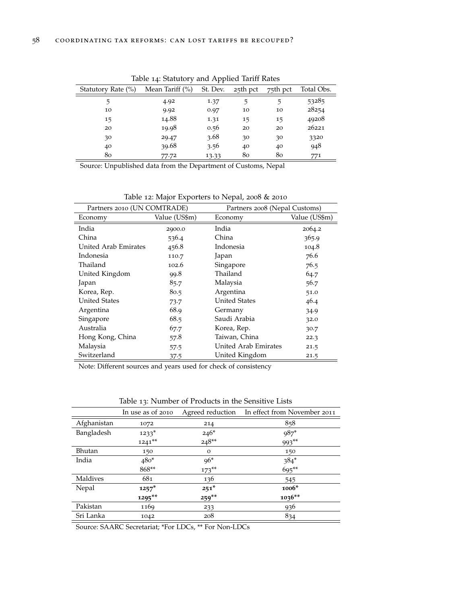<span id="page-65-0"></span>

|                    |                     | . .      |          |          |            |
|--------------------|---------------------|----------|----------|----------|------------|
| Statutory Rate (%) | Mean Tariff $(\% )$ | St. Dev. | 25th pct | 75th pct | Total Obs. |
| 5                  | 4.92                | 1.37     | 5        | 5        | 53285      |
| 10                 | 9.92                | 0.97     | 10       | 10       | 28254      |
| 15                 | 14.88               | 1.31     | 15       | 15       | 49208      |
| 20                 | 19.98               | 0.56     | 20       | 20       | 26221      |
| 30                 | 29.47               | 3.68     | 30       | 30       | 3320       |
| 40                 | 39.68               | 3.56     | 40       | 40       | 948        |
| 80                 | 77.72               | 13.33    | 80       | 80       | 771        |

Table 14: Statutory and Applied Tariff Rates

Source: Unpublished data from the Department of Customs, Nepal

Table 12: Major Exporters to Nepal, 2008 & 2010

<span id="page-65-1"></span>

| Partners 2010 (UN COMTRADE) |               | Partners 2008 (Nepal Customs) |               |  |  |  |
|-----------------------------|---------------|-------------------------------|---------------|--|--|--|
| Economy                     | Value (US\$m) | Economy                       | Value (US\$m) |  |  |  |
| India                       | 2900.0        | India                         | 2064.2        |  |  |  |
| China                       | 536.4         | China                         | 365.9         |  |  |  |
| United Arab Emirates        | 456.8         | Indonesia                     | 104.8         |  |  |  |
| Indonesia                   | 110.7         | Japan                         | 76.6          |  |  |  |
| Thailand                    | 102.6         | Singapore                     | 76.5          |  |  |  |
| United Kingdom              | 99.8          | Thailand                      | 64.7          |  |  |  |
| Japan                       | 85.7          | Malaysia                      | 56.7          |  |  |  |
| Korea, Rep.                 | 80.5          | Argentina                     | 51.0          |  |  |  |
| <b>United States</b>        | 73.7          | <b>United States</b>          | 46.4          |  |  |  |
| Argentina                   | 68.9          | Germany                       | 34.9          |  |  |  |
| Singapore                   | 68.5          | Saudi Arabia                  | 32.0          |  |  |  |
| Australia                   | 67.7          | Korea, Rep.                   | 30.7          |  |  |  |
| Hong Kong, China            | 57.8          | Taiwan, China                 | 22.3          |  |  |  |
| Malaysia                    | 57.5          | United Arab Emirates          | 21.5          |  |  |  |
| Switzerland                 | 37.5          | United Kingdom                | 21.5          |  |  |  |

Note: Different sources and years used for check of consistency

<span id="page-65-2"></span>

|             | In use as of 2010 | Agreed reduction | In effect from November 2011 |
|-------------|-------------------|------------------|------------------------------|
| Afghanistan | 1072              | 214              | 858                          |
| Bangladesh  | $1233*$           | $246*$           | 987*                         |
|             | $1241**$          | $248**$          | 993**                        |
| Bhutan      | 150               | $\mathbf{O}$     | 150                          |
| India       | $480*$            | $96*$            | $384*$                       |
|             | 868**             | $173**$          | 695**                        |
| Maldives    | 681               | 136              | 545                          |
| Nepal       | $1257*$           | $251*$           | 1006*                        |
|             | 1295**            | $259**$          | 1036**                       |
| Pakistan    | 1169              | 233              | 936                          |
| Sri Lanka   | 1042              | 208              | 834                          |

Table 13: Number of Products in the Sensitive Lists

Source: SAARC Secretariat; \*For LDCs, \*\* For Non-LDCs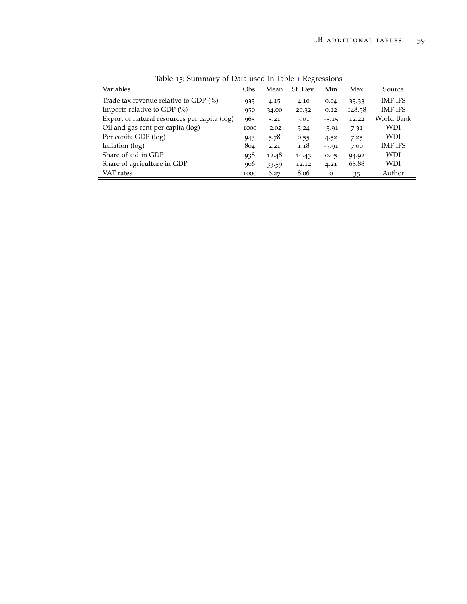<span id="page-66-0"></span>

| Variables                                    | Obs. | Mean    | St. Dev. | Min          | Max    | Source         |
|----------------------------------------------|------|---------|----------|--------------|--------|----------------|
| Trade tax revenue relative to GDP (%)        | 933  | 4.15    | 4.10     | 0.04         | 33.33  | <b>IMF IFS</b> |
| Imports relative to GDP $(\%)$               | 950  | 34.00   | 20.32    | 0.12         | 148.58 | <b>IMF IFS</b> |
| Export of natural resources per capita (log) | 965  | 5.21    | 3.01     | $-5.15$      | 12.22  | World Bank     |
| Oil and gas rent per capita (log)            |      | $-2.02$ | 3.24     | $-3.91$      | 7.31   | WDI            |
| Per capita GDP (log)                         |      | 5.78    | 0.55     | 4.52         | 7.25   | WDI            |
| Inflation (log)                              | 804  | 2.21    | 1.18     | $-3.91$      | 7.00   | <b>IMF IFS</b> |
| Share of aid in GDP                          | 938  | 12.48   | 10.43    | 0.05         | 94.92  | WDI            |
| Share of agriculture in GDP                  | 906  | 33.59   | 12.12    | 4.21         | 68.88  | WDI            |
| VAT rates                                    | 1000 | 6.27    | 8.06     | $\mathbf{o}$ | 35     | Author         |

Table 15: Summary of Data used in Table [1](#page-18-0) Regressions